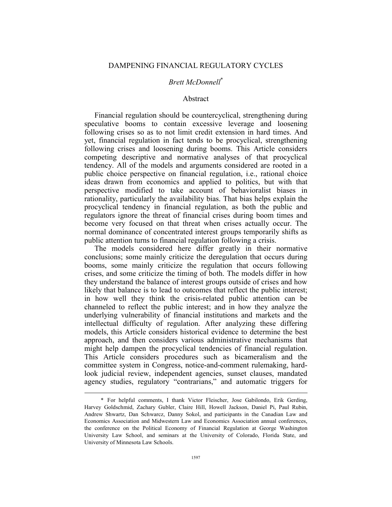# *Brett McDonnell*\*

### Abstract

Financial regulation should be countercyclical, strengthening during speculative booms to contain excessive leverage and loosening following crises so as to not limit credit extension in hard times. And yet, financial regulation in fact tends to be procyclical, strengthening following crises and loosening during booms. This Article considers competing descriptive and normative analyses of that procyclical tendency. All of the models and arguments considered are rooted in a public choice perspective on financial regulation, i.e., rational choice ideas drawn from economics and applied to politics, but with that perspective modified to take account of behavioralist biases in rationality, particularly the availability bias. That bias helps explain the procyclical tendency in financial regulation, as both the public and regulators ignore the threat of financial crises during boom times and become very focused on that threat when crises actually occur. The normal dominance of concentrated interest groups temporarily shifts as public attention turns to financial regulation following a crisis.

The models considered here differ greatly in their normative conclusions; some mainly criticize the deregulation that occurs during booms, some mainly criticize the regulation that occurs following crises, and some criticize the timing of both. The models differ in how they understand the balance of interest groups outside of crises and how likely that balance is to lead to outcomes that reflect the public interest; in how well they think the crisis-related public attention can be channeled to reflect the public interest; and in how they analyze the underlying vulnerability of financial institutions and markets and the intellectual difficulty of regulation. After analyzing these differing models, this Article considers historical evidence to determine the best approach, and then considers various administrative mechanisms that might help dampen the procyclical tendencies of financial regulation. This Article considers procedures such as bicameralism and the committee system in Congress, notice-and-comment rulemaking, hardlook judicial review, independent agencies, sunset clauses, mandated agency studies, regulatory "contrarians," and automatic triggers for

 <sup>\*</sup> For helpful comments, I thank Victor Fleischer, Jose Gabilondo, Erik Gerding, Harvey Goldschmid, Zachary Gubler, Claire Hill, Howell Jackson, Daniel Pi, Paul Rubin, Andrew Shwartz, Dan Schwarcz, Danny Sokol, and participants in the Canadian Law and Economics Association and Midwestern Law and Economics Association annual conferences, the conference on the Political Economy of Financial Regulation at George Washington University Law School, and seminars at the University of Colorado, Florida State, and University of Minnesota Law Schools.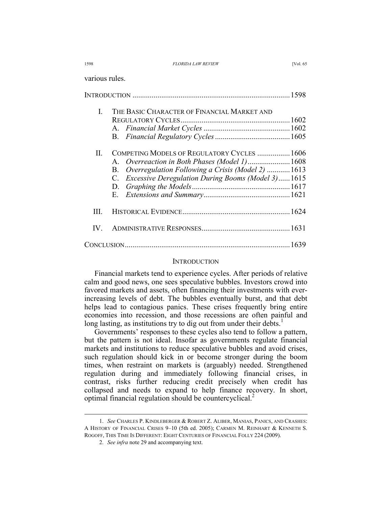various rules.

| $I_{\cdot}$  | THE BASIC CHARACTER OF FINANCIAL MARKET AND                                                                                                                                                                           |  |
|--------------|-----------------------------------------------------------------------------------------------------------------------------------------------------------------------------------------------------------------------|--|
| $\mathbf{H}$ | COMPETING MODELS OF REGULATORY CYCLES  1606<br>A. Overreaction in Both Phases (Model 1) 1608<br>Overregulation Following a Crisis (Model 2)  1613<br>B.<br>C. Excessive Deregulation During Booms (Model 3)1615<br>D. |  |
| Ш            |                                                                                                                                                                                                                       |  |
|              |                                                                                                                                                                                                                       |  |
|              |                                                                                                                                                                                                                       |  |

#### **INTRODUCTION**

Financial markets tend to experience cycles. After periods of relative calm and good news, one sees speculative bubbles. Investors crowd into favored markets and assets, often financing their investments with everincreasing levels of debt. The bubbles eventually burst, and that debt helps lead to contagious panics. These crises frequently bring entire economies into recession, and those recessions are often painful and long lasting, as institutions try to dig out from under their debts.<sup>1</sup>

Governments' responses to these cycles also tend to follow a pattern, but the pattern is not ideal. Insofar as governments regulate financial markets and institutions to reduce speculative bubbles and avoid crises, such regulation should kick in or become stronger during the boom times, when restraint on markets is (arguably) needed. Strengthened regulation during and immediately following financial crises, in contrast, risks further reducing credit precisely when credit has collapsed and needs to expand to help finance recovery. In short, optimal financial regulation should be countercyclical.<sup>2</sup>

 <sup>1.</sup> *See* CHARLES P. KINDLEBERGER & ROBERT Z. ALIBER, MANIAS, PANICS, AND CRASHES: A HISTORY OF FINANCIAL CRISES 9–10 (5th ed. 2005); CARMEN M. REINHART & KENNETH S. ROGOFF, THIS TIME IS DIFFERENT: EIGHT CENTURIES OF FINANCIAL FOLLY 224 (2009).

 <sup>2.</sup> *See infra* note 29 and accompanying text.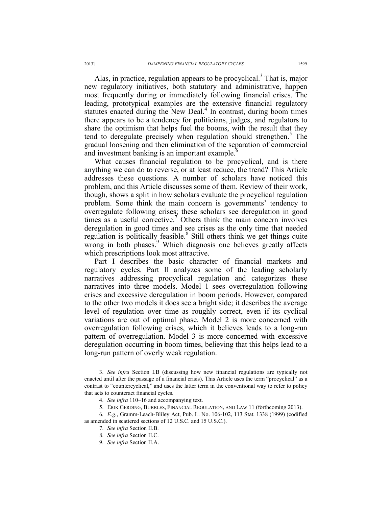Alas, in practice, regulation appears to be procyclical.<sup>3</sup> That is, major new regulatory initiatives, both statutory and administrative, happen most frequently during or immediately following financial crises. The leading, prototypical examples are the extensive financial regulatory statutes enacted during the New Deal. $4$  In contrast, during boom times there appears to be a tendency for politicians, judges, and regulators to share the optimism that helps fuel the booms, with the result that they tend to deregulate precisely when regulation should strengthen.<sup>5</sup> The gradual loosening and then elimination of the separation of commercial and investment banking is an important example.<sup>6</sup>

What causes financial regulation to be procyclical, and is there anything we can do to reverse, or at least reduce, the trend? This Article addresses these questions. A number of scholars have noticed this problem, and this Article discusses some of them. Review of their work, though, shows a split in how scholars evaluate the procyclical regulation problem. Some think the main concern is governments' tendency to overregulate following crises; these scholars see deregulation in good times as a useful corrective.<sup>7</sup> Others think the main concern involves deregulation in good times and see crises as the only time that needed regulation is politically feasible.<sup>8</sup> Still others think we get things quite wrong in both phases.<sup>9</sup> Which diagnosis one believes greatly affects which prescriptions look most attractive.

Part I describes the basic character of financial markets and regulatory cycles. Part II analyzes some of the leading scholarly narratives addressing procyclical regulation and categorizes these narratives into three models. Model 1 sees overregulation following crises and excessive deregulation in boom periods. However, compared to the other two models it does see a bright side; it describes the average level of regulation over time as roughly correct, even if its cyclical variations are out of optimal phase. Model 2 is more concerned with overregulation following crises, which it believes leads to a long-run pattern of overregulation. Model 3 is more concerned with excessive deregulation occurring in boom times, believing that this helps lead to a long-run pattern of overly weak regulation.

 <sup>3.</sup> *See infra* Section I.B (discussing how new financial regulations are typically not enacted until after the passage of a financial crisis). This Article uses the term "procyclical" as a contrast to "countercyclical," and uses the latter term in the conventional way to refer to policy that acts to counteract financial cycles.

 <sup>4.</sup> *See infra* 110–16 and accompanying text.

 <sup>5.</sup> ERIK GERDING, BUBBLES, FINANCIAL REGULATION, AND LAW 11 (forthcoming 2013).

<sup>6</sup>*. E.g.*, Gramm-Leach-Bliley Act, Pub. L. No. 106-102, 113 Stat. 1338 (1999) (codified as amended in scattered sections of 12 U.S.C. and 15 U.S.C.).

 <sup>7.</sup> *See infra* Section II.B.

 <sup>8.</sup> *See infra* Section II.C.

 <sup>9.</sup> *See infra* Section II.A.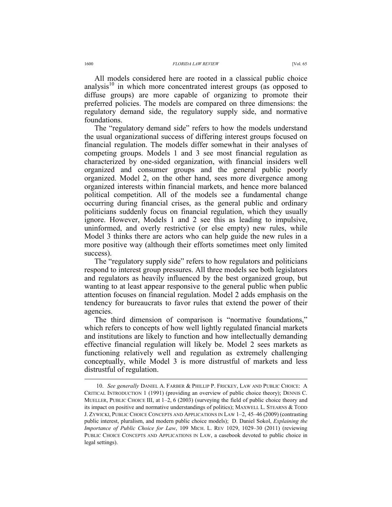All models considered here are rooted in a classical public choice analysis<sup>10</sup> in which more concentrated interest groups (as opposed to diffuse groups) are more capable of organizing to promote their preferred policies. The models are compared on three dimensions: the regulatory demand side, the regulatory supply side, and normative foundations.

The "regulatory demand side" refers to how the models understand the usual organizational success of differing interest groups focused on financial regulation. The models differ somewhat in their analyses of competing groups. Models 1 and 3 see most financial regulation as characterized by one-sided organization, with financial insiders well organized and consumer groups and the general public poorly organized. Model 2, on the other hand, sees more divergence among organized interests within financial markets, and hence more balanced political competition. All of the models see a fundamental change occurring during financial crises, as the general public and ordinary politicians suddenly focus on financial regulation, which they usually ignore. However, Models 1 and 2 see this as leading to impulsive, uninformed, and overly restrictive (or else empty) new rules, while Model 3 thinks there are actors who can help guide the new rules in a more positive way (although their efforts sometimes meet only limited success).

The "regulatory supply side" refers to how regulators and politicians respond to interest group pressures. All three models see both legislators and regulators as heavily influenced by the best organized group, but wanting to at least appear responsive to the general public when public attention focuses on financial regulation. Model 2 adds emphasis on the tendency for bureaucrats to favor rules that extend the power of their agencies.

The third dimension of comparison is "normative foundations," which refers to concepts of how well lightly regulated financial markets and institutions are likely to function and how intellectually demanding effective financial regulation will likely be. Model 2 sees markets as functioning relatively well and regulation as extremely challenging conceptually, while Model 3 is more distrustful of markets and less distrustful of regulation.

 <sup>10.</sup> *See generally* DANIEL A. FARBER & PHILLIP P. FRICKEY, LAW AND PUBLIC CHOICE: A CRITICAL INTRODUCTION 1 (1991) (providing an overview of public choice theory); DENNIS C. MUELLER, PUBLIC CHOICE III, at 1–2, 6 (2003) (surveying the field of public choice theory and its impact on positive and normative understandings of politics); MAXWELL L. STEARNS & TODD J. ZYWICKI, PUBLIC CHOICE CONCEPTS AND APPLICATIONS IN LAW 1–2, 45–46 (2009) (contrasting public interest, pluralism, and modern public choice models); D. Daniel Sokol, *Explaining the Importance of Public Choice for Law*, 109 MICH. L. REV 1029, 1029–30 (2011) (reviewing PUBLIC CHOICE CONCEPTS AND APPLICATIONS IN LAW, a casebook devoted to public choice in legal settings).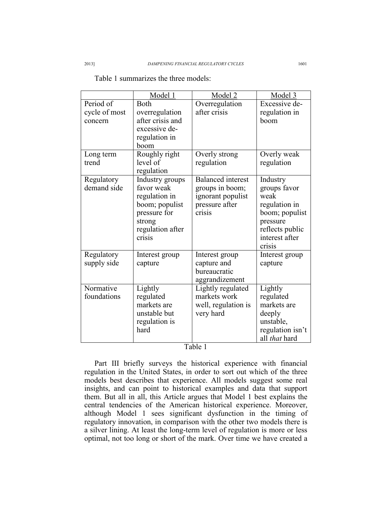|                        | Model 1          | <u>Model 2</u>           | Model 3          |
|------------------------|------------------|--------------------------|------------------|
| Period $\overline{of}$ | <b>Both</b>      | Overregulation           | Excessive de-    |
| cycle of most          | overregulation   | after crisis             | regulation in    |
| concern                | after crisis and |                          | boom             |
|                        | excessive de-    |                          |                  |
|                        | regulation in    |                          |                  |
|                        | boom             |                          |                  |
| Long term              | Roughly right    | Overly strong            | Overly weak      |
| trend                  | level of         | regulation               | regulation       |
|                        | regulation       |                          |                  |
| Regulatory             | Industry groups  | <b>Balanced</b> interest | Industry         |
| demand side            | favor weak       | groups in boom;          | groups favor     |
|                        | regulation in    | ignorant populist        | weak             |
|                        | boom; populist   | pressure after           | regulation in    |
|                        | pressure for     | crisis                   | boom; populist   |
|                        | strong           |                          | pressure         |
|                        | regulation after |                          | reflects public  |
|                        | crisis           |                          | interest after   |
|                        |                  |                          | crisis           |
| Regulatory             | Interest group   | Interest group           | Interest group   |
| supply side            | capture          | capture and              | capture          |
|                        |                  | bureaucratic             |                  |
|                        |                  | aggrandizement           |                  |
| Normative              | Lightly          | Lightly regulated        | Lightly          |
| foundations            | regulated        | markets work             | regulated        |
|                        | markets are      | well, regulation is      | markets are      |
|                        | unstable but     | very hard                | deeply           |
|                        | regulation is    |                          | unstable,        |
|                        | hard             |                          | regulation isn't |

Table 1 summarizes the three models:

## Table 1

Part III briefly surveys the historical experience with financial regulation in the United States, in order to sort out which of the three models best describes that experience. All models suggest some real insights, and can point to historical examples and data that support them. But all in all, this Article argues that Model 1 best explains the central tendencies of the American historical experience. Moreover, although Model 1 sees significant dysfunction in the timing of regulatory innovation, in comparison with the other two models there is a silver lining. At least the long-term level of regulation is more or less optimal, not too long or short of the mark. Over time we have created a

all *that* hard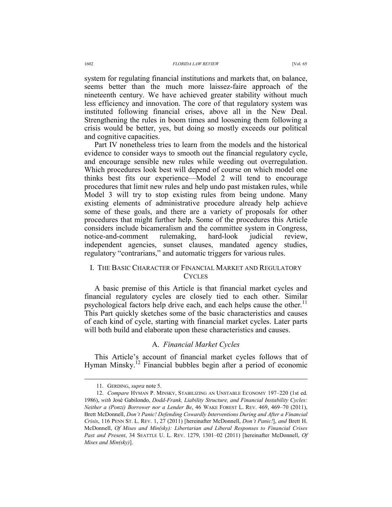system for regulating financial institutions and markets that, on balance, seems better than the much more laissez-faire approach of the nineteenth century. We have achieved greater stability without much less efficiency and innovation. The core of that regulatory system was instituted following financial crises, above all in the New Deal. Strengthening the rules in boom times and loosening them following a crisis would be better, yes, but doing so mostly exceeds our political and cognitive capacities.

Part IV nonetheless tries to learn from the models and the historical evidence to consider ways to smooth out the financial regulatory cycle, and encourage sensible new rules while weeding out overregulation. Which procedures look best will depend of course on which model one thinks best fits our experience—Model 2 will tend to encourage procedures that limit new rules and help undo past mistaken rules, while Model 3 will try to stop existing rules from being undone. Many existing elements of administrative procedure already help achieve some of these goals, and there are a variety of proposals for other procedures that might further help. Some of the procedures this Article considers include bicameralism and the committee system in Congress, notice-and-comment rulemaking, hard-look judicial review, independent agencies, sunset clauses, mandated agency studies, regulatory "contrarians," and automatic triggers for various rules.

# I. THE BASIC CHARACTER OF FINANCIAL MARKET AND REGULATORY **CYCLES**

A basic premise of this Article is that financial market cycles and financial regulatory cycles are closely tied to each other. Similar psychological factors help drive each, and each helps cause the other.<sup>11</sup> This Part quickly sketches some of the basic characteristics and causes of each kind of cycle, starting with financial market cycles. Later parts will both build and elaborate upon these characteristics and causes.

## A. *Financial Market Cycles*

This Article's account of financial market cycles follows that of Hyman Minsky.<sup>12</sup> Financial bubbles begin after a period of economic

 <sup>11.</sup> GERDING, *supra* note 5.

 <sup>12.</sup> *Compare* HYMAN P. MINSKY, STABILIZING AN UNSTABLE ECONOMY 197–220 (1st ed. 1986), *with* José Gabilondo, *Dodd-Frank, Liability Structure, and Financial Instability Cycles: Neither a (Ponzi) Borrower nor a Lender Be*, 46 WAKE FOREST L. REV. 469, 469–70 (2011), Brett McDonnell, *Don't Panic! Defending Cowardly Interventions During and After a Financial Crisis*, 116 PENN ST. L. REV. 1, 27 (2011) [hereinafter McDonnell, *Don't Panic!*], *and* Brett H. McDonnell, *Of Mises and Min(sky): Libertarian and Liberal Responses to Financial Crises Past and Present*, 34 SEATTLE U. L. REV. 1279, 1301–02 (2011) [hereinafter McDonnell, *Of Mises and Min(sky)*].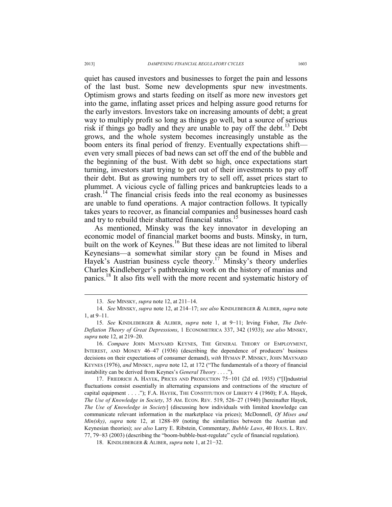quiet has caused investors and businesses to forget the pain and lessons of the last bust. Some new developments spur new investments. Optimism grows and starts feeding on itself as more new investors get into the game, inflating asset prices and helping assure good returns for the early investors. Investors take on increasing amounts of debt; a great way to multiply profit so long as things go well, but a source of serious risk if things go badly and they are unable to pay off the debt.<sup>13</sup> Debt grows, and the whole system becomes increasingly unstable as the boom enters its final period of frenzy. Eventually expectations shift even very small pieces of bad news can set off the end of the bubble and the beginning of the bust. With debt so high, once expectations start turning, investors start trying to get out of their investments to pay off their debt. But as growing numbers try to sell off, asset prices start to plummet. A vicious cycle of falling prices and bankruptcies leads to a crash.14 The financial crisis feeds into the real economy as businesses are unable to fund operations. A major contraction follows. It typically takes years to recover, as financial companies and businesses hoard cash and try to rebuild their shattered financial status.<sup>15</sup>

As mentioned, Minsky was the key innovator in developing an economic model of financial market booms and busts. Minsky, in turn, built on the work of Keynes.<sup>16</sup> But these ideas are not limited to liberal Keynesians—a somewhat similar story can be found in Mises and Hayek's Austrian business cycle theory.<sup>17</sup> Minsky's theory underlies Charles Kindleberger's pathbreaking work on the history of manias and panics.<sup>18</sup> It also fits well with the more recent and systematic history of

 <sup>13.</sup> *See* MINSKY, *supra* note 12, at 211–14.

 <sup>14.</sup> *See* MINSKY, *supra* note 12, at 214–17; *see also* KINDLEBERGER & ALIBER, *supra* note 1, at 9–11.

 <sup>15.</sup> *See* KINDLEBERGER & ALIBER, *supra* note 1, at 9−11; Irving Fisher, *The Debt-Deflation Theory of Great Depressions*, 1 ECONOMETRICA 337, 342 (1933); *see also* MINSKY, *supra* note 12, at 219–20.

 <sup>16.</sup> *Compare* JOHN MAYNARD KEYNES, THE GENERAL THEORY OF EMPLOYMENT, INTEREST, AND MONEY 46–47 (1936) (describing the dependence of producers' business decisions on their expectations of consumer demand), *with* HYMAN P. MINSKY, JOHN MAYNARD KEYNES (1976), *and* MINSKY, *supra* note 12, at 172 ("The fundamentals of a theory of financial instability can be derived from Keynes's *General Theory* . . . .").

 <sup>17.</sup> FRIEDRICH A. HAYEK, PRICES AND PRODUCTION 75−101 (2d ed. 1935) ("[I]ndustrial fluctuations consist essentially in alternating expansions and contractions of the structure of capital equipment . . . ."); F.A. HAYEK, THE CONSTITUTION OF LIBERTY 4 (1960); F.A. Hayek, *The Use of Knowledge in Society*, 35 AM. ECON. REV. 519, 526–27 (1940) [hereinafter Hayek, *The Use of Knowledge in Society*] (discussing how individuals with limited knowledge can communicate relevant information in the marketplace via prices); McDonnell, *Of Mises and Min(sky)*, *supra* note 12, at 1288–89 (noting the similarities between the Austrian and Keynesian theories); *see also* Larry E. Ribstein, Commentary, *Bubble Laws*, 40 HOUS. L. REV. 77, 79−83 (2003) (describing the "boom-bubble-bust-regulate" cycle of financial regulation).

 <sup>18.</sup> KINDLEBERGER & ALIBER, *supra* note 1, at 21−32.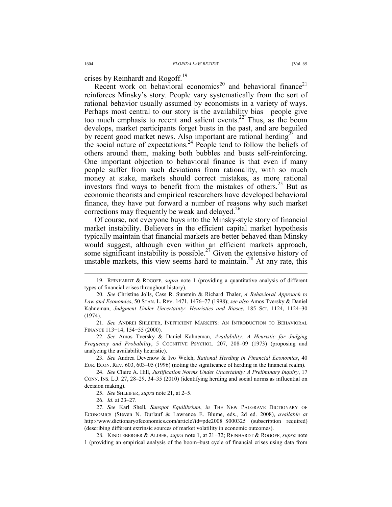crises by Reinhardt and Rogoff.<sup>19</sup>

Recent work on behavioral economics<sup>20</sup> and behavioral finance<sup>21</sup> reinforces Minsky's story. People vary systematically from the sort of rational behavior usually assumed by economists in a variety of ways. Perhaps most central to our story is the availability bias—people give too much emphasis to recent and salient events.<sup>22</sup> Thus, as the boom develops, market participants forget busts in the past, and are beguiled by recent good market news. Also important are rational herding<sup>23</sup> and the social nature of expectations.<sup>24</sup> People tend to follow the beliefs of others around them, making both bubbles and busts self-reinforcing. One important objection to behavioral finance is that even if many people suffer from such deviations from rationality, with so much money at stake, markets should correct mistakes, as more rational investors find ways to benefit from the mistakes of others.<sup>25</sup> But as economic theorists and empirical researchers have developed behavioral finance, they have put forward a number of reasons why such market corrections may frequently be weak and delayed.<sup>26</sup>

Of course, not everyone buys into the Minsky-style story of financial market instability. Believers in the efficient capital market hypothesis typically maintain that financial markets are better behaved than Minsky would suggest, although even within an efficient markets approach, some significant instability is possible.<sup>27</sup> Given the extensive history of unstable markets, this view seems hard to maintain.<sup>28</sup> At any rate, this

26. *Id.* at 23–27.

 <sup>19.</sup> REINHARDT & ROGOFF, *supra* note 1 (providing a quantitative analysis of different types of financial crises throughout history).

 <sup>20.</sup> *See* Christine Jolls, Cass R. Sunstein & Richard Thaler, *A Behavioral Approach to Law and Economics*, 50 STAN. L. REV. 1471, 1476–77 (1998); *see also* Amos Tversky & Daniel Kahneman, *Judgment Under Uncertainty: Heuristics and Biases*, 185 SCI. 1124, 1124–30 (1974).

 <sup>21.</sup> *See* ANDREI SHLEIFER, INEFFICIENT MARKETS: AN INTRODUCTION TO BEHAVIORAL FINANCE 113−14, 154−55 (2000).

 <sup>22.</sup> *See* Amos Tversky & Daniel Kahneman, *Availability: A Heuristic for Judging Frequency and Probability*, 5 COGNITIVE PSYCHOL. 207, 208–09 (1973) (proposing and analyzing the availability heuristic).

 <sup>23.</sup> *See* Andrea Devenow & Ivo Welch, *Rational Herding in Financial Economics*, 40 EUR. ECON. REV. 603, 603–05 (1996) (noting the significance of herding in the financial realm).

 <sup>24.</sup> *See* Claire A. Hill, *Justification Norms Under Uncertainty: A Preliminary Inquiry*, 17 CONN. INS. L.J. 27, 28–29, 34–35 (2010) (identifying herding and social norms as influential on decision making).

 <sup>25.</sup> *See* SHLEIFER, *supra* note 21, at 2–5.

 <sup>27.</sup> *See* Karl Shell, *Sunspot Equilibrium*, *in* THE NEW PALGRAVE DICTIONARY OF ECONOMICS (Steven N. Durlauf & Lawrence E. Blume, eds., 2d ed. 2008), *available at*  http://www.dictionaryofeconomics.com/article?id=pde2008\_S000325 (subscription required) (describing different extrinsic sources of market volatility in economic outcomes).

 <sup>28.</sup> KINDLEBERGER & ALIBER, *supra* note 1, at 21−32; REINHARDT & ROGOFF, *supra* note 1 (providing an empirical analysis of the boom–bust cycle of financial crises using data from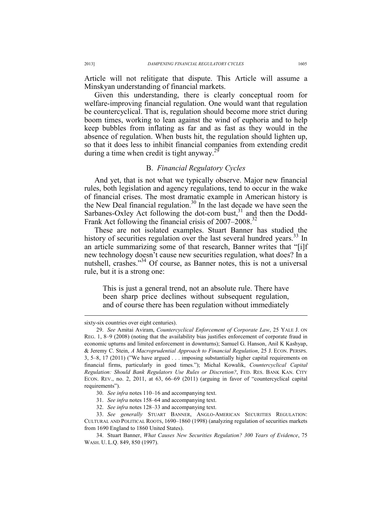Article will not relitigate that dispute. This Article will assume a Minskyan understanding of financial markets.

Given this understanding, there is clearly conceptual room for welfare-improving financial regulation. One would want that regulation be countercyclical. That is, regulation should become more strict during boom times, working to lean against the wind of euphoria and to help keep bubbles from inflating as far and as fast as they would in the absence of regulation. When busts hit, the regulation should lighten up, so that it does less to inhibit financial companies from extending credit during a time when credit is tight anyway.<sup>29</sup>

### B. *Financial Regulatory Cycles*

And yet, that is not what we typically observe. Major new financial rules, both legislation and agency regulations, tend to occur in the wake of financial crises. The most dramatic example in American history is the New Deal financial regulation.<sup>30</sup> In the last decade we have seen the Sarbanes-Oxley Act following the dot-com bust, $31$  and then the Dodd-Frank Act following the financial crisis of 2007–2008.<sup>32</sup>

These are not isolated examples. Stuart Banner has studied the history of securities regulation over the last several hundred years.<sup>33</sup> In an article summarizing some of that research, Banner writes that "[i]f new technology doesn't cause new securities regulation, what does? In a nutshell, crashes."34 Of course, as Banner notes, this is not a universal rule, but it is a strong one:

This is just a general trend, not an absolute rule. There have been sharp price declines without subsequent regulation, and of course there has been regulation without immediately

sixty-six countries over eight centuries).

 <sup>29.</sup> *See* Amitai Aviram, *Countercyclical Enforcement of Corporate Law*, 25 YALE J. ON REG. 1, 8–9 (2008) (noting that the availability bias justifies enforcement of corporate fraud in economic upturns and limited enforcement in downturns); Samuel G. Hanson, Anil K Kashyap, & Jeremy C. Stein, *A Macroprudential Approach to Financial Regulation*, 25 J. ECON. PERSPS. 3, 5–8, 17 (2011) ("We have argued . . . imposing substantially higher capital requirements on financial firms, particularly in good times."); Michal Kowalik, *Countercyclical Capital Regulation: Should Bank Regulators Use Rules or Discretion?*, FED. RES. BANK KAN. CITY ECON. REV., no. 2, 2011, at 63, 66–69 (2011) (arguing in favor of "countercyclical capital requirements").

 <sup>30.</sup> *See infra* notes 110–16 and accompanying text.

 <sup>31.</sup> *See infra* notes 158–64 and accompanying text.

 <sup>32.</sup> *See infra* notes 128–33 and accompanying text.

 <sup>33.</sup> *See generally* STUART BANNER, ANGLO-AMERICAN SECURITIES REGULATION: CULTURAL AND POLITICAL ROOTS, 1690–1860 (1998) (analyzing regulation of securities markets from 1690 England to 1860 United States).

 <sup>34.</sup> Stuart Banner, *What Causes New Securities Regulation? 300 Years of Evidence*, 75 WASH. U. L.Q. 849, 850 (1997).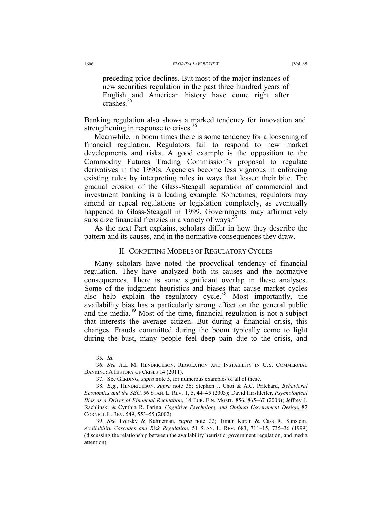preceding price declines. But most of the major instances of new securities regulation in the past three hundred years of English and American history have come right after

Banking regulation also shows a marked tendency for innovation and strengthening in response to crises.<sup>36</sup>

Meanwhile, in boom times there is some tendency for a loosening of financial regulation. Regulators fail to respond to new market developments and risks. A good example is the opposition to the Commodity Futures Trading Commission's proposal to regulate derivatives in the 1990s. Agencies become less vigorous in enforcing existing rules by interpreting rules in ways that lessen their bite. The gradual erosion of the Glass-Steagall separation of commercial and investment banking is a leading example. Sometimes, regulators may amend or repeal regulations or legislation completely, as eventually happened to Glass-Steagall in 1999. Governments may affirmatively subsidize financial frenzies in a variety of ways. $37$ 

As the next Part explains, scholars differ in how they describe the pattern and its causes, and in the normative consequences they draw.

#### II. COMPETING MODELS OF REGULATORY CYCLES

Many scholars have noted the procyclical tendency of financial regulation. They have analyzed both its causes and the normative consequences. There is some significant overlap in these analyses. Some of the judgment heuristics and biases that cause market cycles also help explain the regulatory cycle.<sup>38</sup> Most importantly, the availability bias has a particularly strong effect on the general public and the media.<sup>39</sup> Most of the time, financial regulation is not a subject that interests the average citizen. But during a financial crisis, this changes. Frauds committed during the boom typically come to light during the bust, many people feel deep pain due to the crisis, and

crashes.35

 <sup>35</sup>*. Id.* 

 <sup>36.</sup> *See* JILL M. HENDRICKSON, REGULATION AND INSTABILITY IN U.S. COMMERCIAL BANKING: A HISTORY OF CRISES 14 (2011).

 <sup>37.</sup> See GERDING, *supra* note 5, for numerous examples of all of these.

 <sup>38.</sup> *E.g.*, HENDRICKSON, *supra* note 36; Stephen J. Choi & A.C. Pritchard, *Behavioral Economics and the SEC*, 56 STAN. L. REV. 1, 5, 44–45 (2003); David Hirshleifer, *Psychological Bias as a Driver of Financial Regulation*, 14 EUR. FIN. MGMT. 856, 865–67 (2008); Jeffrey J. Rachlinski & Cynthia R. Farina, *Cognitive Psychology and Optimal Government Design*, 87 CORNELL L. REV. 549, 553–55 (2002).

 <sup>39.</sup> *See* Tversky & Kahneman, *supra* note 22; Timur Kuran & Cass R. Sunstein, *Availability Cascades and Risk Regulation*, 51 STAN. L. REV. 683, 711–15, 735–36 (1999) (discussing the relationship between the availability heuristic, government regulation, and media attention).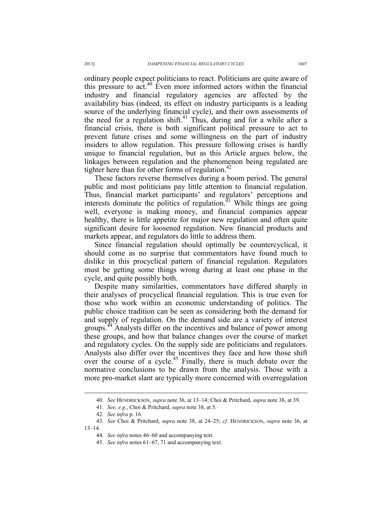ordinary people expect politicians to react. Politicians are quite aware of this pressure to act.40 Even more informed actors within the financial industry and financial regulatory agencies are affected by the availability bias (indeed, its effect on industry participants is a leading source of the underlying financial cycle), and their own assessments of the need for a regulation shift.<sup>41</sup> Thus, during and for a while after a financial crisis, there is both significant political pressure to act to prevent future crises and some willingness on the part of industry insiders to allow regulation. This pressure following crises is hardly unique to financial regulation, but as this Article argues below, the linkages between regulation and the phenomenon being regulated are tighter here than for other forms of regulation.<sup>42</sup>

These factors reverse themselves during a boom period. The general public and most politicians pay little attention to financial regulation. Thus, financial market participants' and regulators' perceptions and interests dominate the politics of regulation.<sup> $43$ </sup> While things are going well, everyone is making money, and financial companies appear healthy, there is little appetite for major new regulation and often quite significant desire for loosened regulation. New financial products and markets appear, and regulators do little to address them.

Since financial regulation should optimally be countercyclical, it should come as no surprise that commentators have found much to dislike in this procyclical pattern of financial regulation. Regulators must be getting some things wrong during at least one phase in the cycle, and quite possibly both.

Despite many similarities, commentators have differed sharply in their analyses of procyclical financial regulation. This is true even for those who work within an economic understanding of politics. The public choice tradition can be seen as considering both the demand for and supply of regulation. On the demand side are a variety of interest groups.<sup>44</sup> Analysts differ on the incentives and balance of power among these groups, and how that balance changes over the course of market and regulatory cycles. On the supply side are politicians and regulators. Analysts also differ over the incentives they face and how those shift over the course of a cycle.45 Finally, there is much debate over the normative conclusions to be drawn from the analysis. Those with a more pro-market slant are typically more concerned with overregulation

 <sup>40.</sup> *See* HENDRICKSON, *supra* note 36, at 13–14; Choi & Pritchard, *supra* note 38, at 39.

 <sup>41.</sup> *See, e.g.*, Choi & Pritchard, *supra* note 38, at 5.

 <sup>42.</sup> *See infra* p. 16.

 <sup>43.</sup> *See* Choi & Pritchard, *supra* note 38, at 24–25; *cf.* HENDRICKSON, *supra* note 36, at 13–14.

 <sup>44.</sup> *See infra* notes 46–60 and accompanying text.

 <sup>45.</sup> *See infra* notes 61–67, 71 and accompanying text.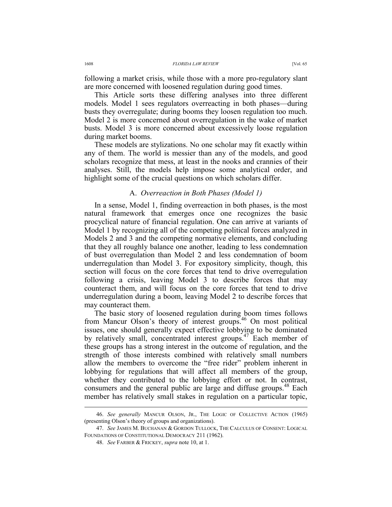This Article sorts these differing analyses into three different models. Model 1 sees regulators overreacting in both phases—during busts they overregulate; during booms they loosen regulation too much. Model 2 is more concerned about overregulation in the wake of market busts. Model 3 is more concerned about excessively loose regulation during market booms.

These models are stylizations. No one scholar may fit exactly within any of them. The world is messier than any of the models, and good scholars recognize that mess, at least in the nooks and crannies of their analyses. Still, the models help impose some analytical order, and highlight some of the crucial questions on which scholars differ.

#### A. *Overreaction in Both Phases (Model 1)*

In a sense, Model 1, finding overreaction in both phases, is the most natural framework that emerges once one recognizes the basic procyclical nature of financial regulation. One can arrive at variants of Model 1 by recognizing all of the competing political forces analyzed in Models 2 and 3 and the competing normative elements, and concluding that they all roughly balance one another, leading to less condemnation of bust overregulation than Model 2 and less condemnation of boom underregulation than Model 3. For expository simplicity, though, this section will focus on the core forces that tend to drive overregulation following a crisis, leaving Model 3 to describe forces that may counteract them, and will focus on the core forces that tend to drive underregulation during a boom, leaving Model 2 to describe forces that may counteract them.

The basic story of loosened regulation during boom times follows from Mancur Olson's theory of interest groups.46 On most political issues, one should generally expect effective lobbying to be dominated by relatively small, concentrated interest groups.<sup>47</sup> Each member of these groups has a strong interest in the outcome of regulation, and the strength of those interests combined with relatively small numbers allow the members to overcome the "free rider" problem inherent in lobbying for regulations that will affect all members of the group, whether they contributed to the lobbying effort or not. In contrast, consumers and the general public are large and diffuse groups.<sup>48</sup> Each member has relatively small stakes in regulation on a particular topic,

 <sup>46.</sup> *See generally* MANCUR OLSON, JR., THE LOGIC OF COLLECTIVE ACTION (1965) (presenting Olson's theory of groups and organizations).

 <sup>47.</sup> *See* JAMES M. BUCHANAN & GORDON TULLOCK, THE CALCULUS OF CONSENT: LOGICAL FOUNDATIONS OF CONSTITUTIONAL DEMOCRACY 211 (1962).

 <sup>48.</sup> *See* FARBER & FRICKEY, *supra* note 10, at 1.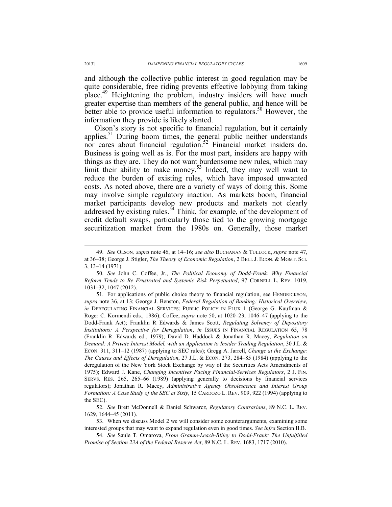and although the collective public interest in good regulation may be quite considerable, free riding prevents effective lobbying from taking place.49 Heightening the problem, industry insiders will have much greater expertise than members of the general public, and hence will be better able to provide useful information to regulators.<sup>50</sup> However, the information they provide is likely slanted.

Olson's story is not specific to financial regulation, but it certainly applies.<sup>51</sup> During boom times, the general public neither understands nor cares about financial regulation.<sup>52</sup> Financial market insiders do. Business is going well as is. For the most part, insiders are happy with things as they are. They do not want burdensome new rules, which may limit their ability to make money.<sup>53</sup> Indeed, they may well want to reduce the burden of existing rules, which have imposed unwanted costs. As noted above, there are a variety of ways of doing this. Some may involve simple regulatory inaction. As markets boom, financial market participants develop new products and markets not clearly addressed by existing rules.<sup>54</sup> Think, for example, of the development of credit default swaps, particularly those tied to the growing mortgage securitization market from the 1980s on. Generally, those market

 <sup>49.</sup> *See* OLSON*, supra* note 46, at 14–16; *see also* BUCHANAN & TULLOCK, *supra* note 47, at 36–38; George J. Stigler, *The Theory of Economic Regulation*, 2 BELL J. ECON. & MGMT. SCI. 3, 13–14 (1971).

 <sup>50.</sup> *See* John C. Coffee, Jr., *The Political Economy of Dodd-Frank: Why Financial Reform Tends to Be Frustrated and Systemic Risk Perpetuated*, 97 CORNELL L. REV. 1019, 1031–32, 1047 (2012).

 <sup>51.</sup> For applications of public choice theory to financial regulation, see HENDRICKSON, *supra* note 36, at 13; George J. Benston, *Federal Regulation of Banking: Historical Overview*, *in* DEREGULATING FINANCIAL SERVICES: PUBLIC POLICY IN FLUX 1 (George G. Kaufman & Roger C. Kormendi eds., 1986); Coffee, *supra* note 50, at 1020–23, 1046–47 (applying to the Dodd-Frank Act); Franklin R Edwards & James Scott, *Regulating Solvency of Depository Institutions: A Perspective for Deregulation*, *in* ISSUES IN FINANCIAL REGULATION 65, 78 (Franklin R. Edwards ed., 1979); David D. Haddock & Jonathan R. Macey, *Regulation on Demand: A Private Interest Model, with an Application to Insider Trading Regulation*, 30 J.L. & ECON. 311, 311–12 (1987) (applying to SEC rules); Gregg A. Jarrell, *Change at the Exchange: The Causes and Effects of Deregulation*, 27 J.L. & ECON. 273, 284–85 (1984) (applying to the deregulation of the New York Stock Exchange by way of the Securities Acts Amendments of 1975); Edward J. Kane, *Changing Incentives Facing Financial-Services Regulators*, 2 J. FIN. SERVS. RES. 265, 265–66 (1989) (applying generally to decisions by financial services regulators); Jonathan R. Macey, *Administrative Agency Obsolescence and Interest Group Formation: A Case Study of the SEC at Sixty*, 15 CARDOZO L. REV. 909, 922 (1994) (applying to the SEC).

 <sup>52.</sup> *See* Brett McDonnell & Daniel Schwarcz, *Regulatory Contrarians*, 89 N.C. L. REV. 1629, 1644–45 (2011).

 <sup>53.</sup> When we discuss Model 2 we will consider some counterarguments, examining some interested groups that may want to expand regulation even in good times. *See infra* Section II.B.

 <sup>54.</sup> *See* Saule T. Omarova, *From Gramm-Leach-Bliley to Dodd-Frank: The Unfulfilled Promise of Section 23A of the Federal Reserve Act*, 89 N.C. L. REV. 1683, 1717 (2010).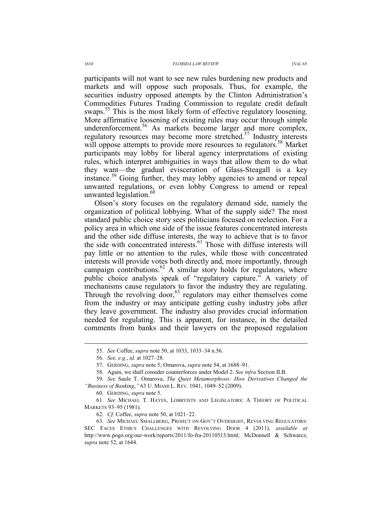participants will not want to see new rules burdening new products and markets and will oppose such proposals. Thus, for example, the securities industry opposed attempts by the Clinton Administration's Commodities Futures Trading Commission to regulate credit default swaps.<sup>55</sup> This is the most likely form of effective regulatory loosening. More affirmative loosening of existing rules may occur through simple underenforcement.<sup>56</sup> As markets become larger and more complex, regulatory resources may become more stretched.<sup>57</sup> Industry interests will oppose attempts to provide more resources to regulators.<sup>58</sup> Market participants may lobby for liberal agency interpretations of existing rules, which interpret ambiguities in ways that allow them to do what they want—the gradual evisceration of Glass-Steagall is a key instance.<sup>59</sup> Going further, they may lobby agencies to amend or repeal unwanted regulations, or even lobby Congress to amend or repeal unwanted legislation. $<sup>60</sup>$ </sup>

Olson's story focuses on the regulatory demand side, namely the organization of political lobbying. What of the supply side? The most standard public choice story sees politicians focused on reelection. For a policy area in which one side of the issue features concentrated interests and the other side diffuse interests, the way to achieve that is to favor the side with concentrated interests. $61$  Those with diffuse interests will pay little or no attention to the rules, while those with concentrated interests will provide votes both directly and, more importantly, through campaign contributions. $62$  A similar story holds for regulators, where public choice analysts speak of "regulatory capture." A variety of mechanisms cause regulators to favor the industry they are regulating. Through the revolving door, $63$  regulators may either themselves come from the industry or may anticipate getting cushy industry jobs after they leave government. The industry also provides crucial information needed for regulating. This is apparent, for instance, in the detailed comments from banks and their lawyers on the proposed regulation

 <sup>55.</sup> *See* Coffee, *supra* note 50, at 1033, 1033–34 n.56.

 <sup>56.</sup> *See, e.g.*, *id.* at 1027–28.

 <sup>57.</sup> GERDING, *supra* note 5; Omarova, *supra* note 54, at 1688–91.

 <sup>58.</sup> Again, we shall consider counterforces under Model 2. *See infra* Section II.B.

 <sup>59.</sup> *See* Saule T. Omarova, *The Quiet Metamorphosis: How Derivatives Changed the "Business of Banking*,*"* 63 U. MIAMI L. REV. 1041, 1049–52 (2009).

 <sup>60.</sup> GERDING, *supra* note 5.

 <sup>61.</sup> *See* MICHAEL T. HAYES, LOBBYISTS AND LEGISLATORS: A THEORY OF POLITICAL MARKETS 93–95 (1981).

 <sup>62.</sup> *Cf.* Coffee, *supra* note 50, at 1021–22.

 <sup>63.</sup> *See* MICHAEL SMALLBERG, PROJECT ON GOV'T OVERSIGHT, REVOLVING REGULATORS: SEC FACES ETHICS CHALLENGES WITH REVOLVING DOOR 4 (2011), *available at* http://www.pogo.org/our-work/reports/2011/fo-fra-20110513.html; McDonnell & Schwarcz, *supra* note 52, at 1644.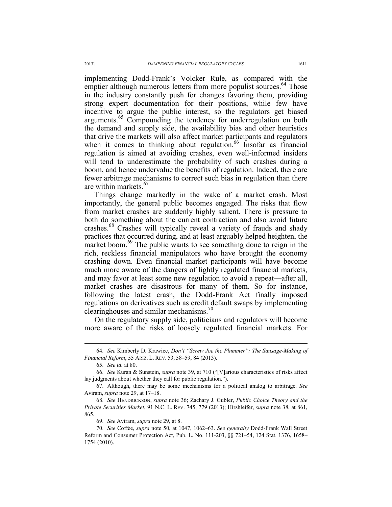implementing Dodd-Frank's Volcker Rule, as compared with the emptier although numerous letters from more populist sources.<sup>64</sup> Those in the industry constantly push for changes favoring them, providing strong expert documentation for their positions, while few have incentive to argue the public interest, so the regulators get biased arguments.<sup>65</sup> Compounding the tendency for underregulation on both the demand and supply side, the availability bias and other heuristics that drive the markets will also affect market participants and regulators when it comes to thinking about regulation.<sup>66</sup> Insofar as financial regulation is aimed at avoiding crashes, even well-informed insiders will tend to underestimate the probability of such crashes during a boom, and hence undervalue the benefits of regulation. Indeed, there are fewer arbitrage mechanisms to correct such bias in regulation than there are within markets.<sup>67</sup>

Things change markedly in the wake of a market crash. Most importantly, the general public becomes engaged. The risks that flow from market crashes are suddenly highly salient. There is pressure to both do something about the current contraction and also avoid future crashes.<sup>68</sup> Crashes will typically reveal a variety of frauds and shady practices that occurred during, and at least arguably helped heighten, the market boom.<sup>69</sup> The public wants to see something done to reign in the rich, reckless financial manipulators who have brought the economy crashing down. Even financial market participants will have become much more aware of the dangers of lightly regulated financial markets, and may favor at least some new regulation to avoid a repeat—after all, market crashes are disastrous for many of them. So for instance, following the latest crash, the Dodd-Frank Act finally imposed regulations on derivatives such as credit default swaps by implementing clearinghouses and similar mechanisms.70

On the regulatory supply side, politicians and regulators will become more aware of the risks of loosely regulated financial markets. For

 <sup>64.</sup> *See* Kimberly D. Krawiec, *Don't "Screw Joe the Plummer": The Sausage-Making of Financial Reform*, 55 ARIZ. L. REV. 53, 58–59, 84 (2013).

 <sup>65.</sup> *See id.* at 80.

 <sup>66.</sup> *See* Kuran & Sunstein, *supra* note 39, at 710 ("[V]arious characteristics of risks affect lay judgments about whether they call for public regulation.").

 <sup>67.</sup> Although, there may be some mechanisms for a political analog to arbitrage. *See*  Aviram, *supra* note 29, at 17–18.

 <sup>68.</sup> *See* HENDRICKSON, *supra* note 36; Zachary J. Gubler, *Public Choice Theory and the Private Securities Market*, 91 N.C. L. REV. 745, 779 (2013); Hirshleifer, *supra* note 38, at 861, 865.

 <sup>69.</sup> *See* Aviram, *supra* note 29, at 8.

 <sup>70.</sup> *See* Coffee, *supra* note 50, at 1047, 1062–63. *See generally* Dodd-Frank Wall Street Reform and Consumer Protection Act, Pub. L. No. 111-203, §§ 721–54, 124 Stat. 1376, 1658– 1754 (2010).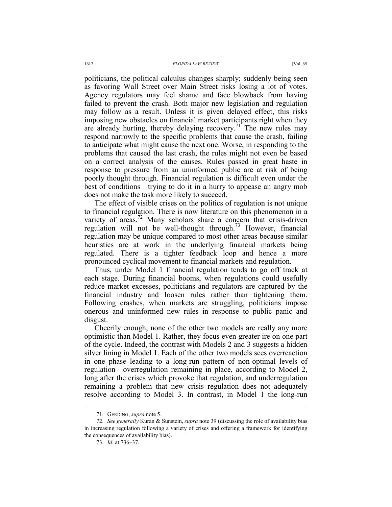politicians, the political calculus changes sharply; suddenly being seen as favoring Wall Street over Main Street risks losing a lot of votes. Agency regulators may feel shame and face blowback from having failed to prevent the crash. Both major new legislation and regulation may follow as a result. Unless it is given delayed effect, this risks imposing new obstacles on financial market participants right when they are already hurting, thereby delaying recovery.<sup>71</sup> The new rules may respond narrowly to the specific problems that cause the crash, failing to anticipate what might cause the next one. Worse, in responding to the problems that caused the last crash, the rules might not even be based on a correct analysis of the causes. Rules passed in great haste in response to pressure from an uninformed public are at risk of being poorly thought through. Financial regulation is difficult even under the best of conditions—trying to do it in a hurry to appease an angry mob does not make the task more likely to succeed.

The effect of visible crises on the politics of regulation is not unique to financial regulation. There is now literature on this phenomenon in a variety of areas.<sup>72</sup> Many scholars share a concern that crisis-driven regulation will not be well-thought through.<sup>73</sup> However, financial regulation may be unique compared to most other areas because similar heuristics are at work in the underlying financial markets being regulated. There is a tighter feedback loop and hence a more pronounced cyclical movement to financial markets and regulation.

Thus, under Model 1 financial regulation tends to go off track at each stage. During financial booms, when regulations could usefully reduce market excesses, politicians and regulators are captured by the financial industry and loosen rules rather than tightening them. Following crashes, when markets are struggling, politicians impose onerous and uninformed new rules in response to public panic and disgust.

Cheerily enough, none of the other two models are really any more optimistic than Model 1. Rather, they focus even greater ire on one part of the cycle. Indeed, the contrast with Models 2 and 3 suggests a hidden silver lining in Model 1. Each of the other two models sees overreaction in one phase leading to a long-run pattern of non-optimal levels of regulation—overregulation remaining in place, according to Model 2, long after the crises which provoke that regulation, and underregulation remaining a problem that new crisis regulation does not adequately resolve according to Model 3. In contrast, in Model 1 the long-run

 <sup>71.</sup> GERDING, *supra* note 5.

 <sup>72.</sup> *See generally* Kuran & Sunstein, *supra* note 39 (discussing the role of availability bias in increasing regulation following a variety of crises and offering a framework for identifying the consequences of availability bias).

 <sup>73.</sup> *Id.* at 736–37.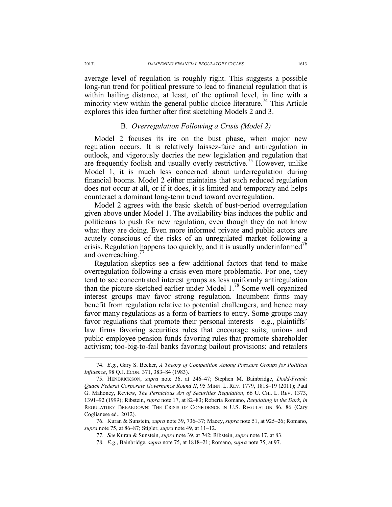average level of regulation is roughly right. This suggests a possible long-run trend for political pressure to lead to financial regulation that is within hailing distance, at least, of the optimal level, in line with a minority view within the general public choice literature.<sup>74</sup> This Article explores this idea further after first sketching Models 2 and 3.

## B. *Overregulation Following a Crisis (Model 2)*

Model 2 focuses its ire on the bust phase, when major new regulation occurs. It is relatively laissez-faire and antiregulation in outlook, and vigorously decries the new legislation and regulation that are frequently foolish and usually overly restrictive.<sup>75</sup> However, unlike Model 1, it is much less concerned about underregulation during financial booms. Model 2 either maintains that such reduced regulation does not occur at all, or if it does, it is limited and temporary and helps counteract a dominant long-term trend toward overregulation.

Model 2 agrees with the basic sketch of bust-period overregulation given above under Model 1. The availability bias induces the public and politicians to push for new regulation, even though they do not know what they are doing. Even more informed private and public actors are acutely conscious of the risks of an unregulated market following a crisis. Regulation happens too quickly, and it is usually underinformed<sup>76</sup> and overreaching.<sup>77</sup>

Regulation skeptics see a few additional factors that tend to make overregulation following a crisis even more problematic. For one, they tend to see concentrated interest groups as less uniformly antiregulation than the picture sketched earlier under Model 1.78 Some well-organized interest groups may favor strong regulation. Incumbent firms may benefit from regulation relative to potential challengers, and hence may favor many regulations as a form of barriers to entry. Some groups may favor regulations that promote their personal interests—e.g., plaintiffs' law firms favoring securities rules that encourage suits; unions and public employee pension funds favoring rules that promote shareholder activism; too-big-to-fail banks favoring bailout provisions; and retailers

 <sup>74.</sup> *E.g.*, Gary S. Becker, *A Theory of Competition Among Pressure Groups for Political Influence*, 98 Q.J. ECON. 371, 383–84 (1983).

 <sup>75.</sup> HENDRICKSON, *supra* note 36, at 246–47; Stephen M. Bainbridge, *Dodd-Frank: Quack Federal Corporate Governance Round II*, 95 MINN. L. REV. 1779, 1818–19 (2011); Paul G. Mahoney, Review, *The Pernicious Art of Securities Regulation*, 66 U. CHI. L. REV. 1373, 1391–92 (1999); Ribstein, *supra* note 17, at 82–83; Roberta Romano, *Regulating in the Dark*, *in* REGULATORY BREAKDOWN: THE CRISIS OF CONFIDENCE IN U.S. REGULATION 86, 86 (Cary Coglianese ed., 2012).

 <sup>76.</sup> Kuran & Sunstein, *supra* note 39, 736–37; Macey, *supra* note 51, at 925–26; Romano, *supra* note 75, at 86–87; Stigler, *supra* note 49, at 11–12.

 <sup>77.</sup> *See* Kuran & Sunstein, *supra* note 39, at 742; Ribstein, *supra* note 17, at 83.

 <sup>78.</sup> *E.g.*, Bainbridge, *supra* note 75, at 1818–21; Romano, *supra* note 75, at 97.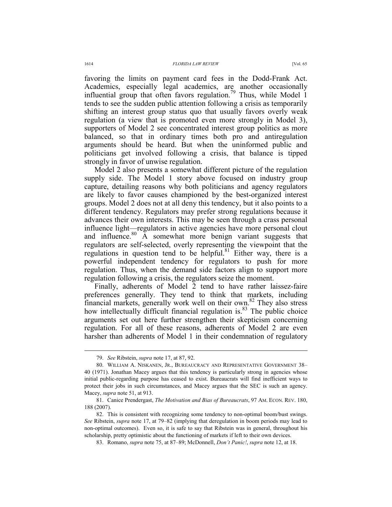favoring the limits on payment card fees in the Dodd-Frank Act. Academics, especially legal academics, are another occasionally influential group that often favors regulation.<sup>79</sup> Thus, while Model 1 tends to see the sudden public attention following a crisis as temporarily shifting an interest group status quo that usually favors overly weak regulation (a view that is promoted even more strongly in Model 3), supporters of Model 2 see concentrated interest group politics as more balanced, so that in ordinary times both pro and antiregulation arguments should be heard. But when the uninformed public and politicians get involved following a crisis, that balance is tipped strongly in favor of unwise regulation.

Model 2 also presents a somewhat different picture of the regulation supply side. The Model 1 story above focused on industry group capture, detailing reasons why both politicians and agency regulators are likely to favor causes championed by the best-organized interest groups. Model 2 does not at all deny this tendency, but it also points to a different tendency. Regulators may prefer strong regulations because it advances their own interests. This may be seen through a crass personal influence light—regulators in active agencies have more personal clout and influence.<sup>80</sup> A somewhat more benign variant suggests that regulators are self-selected, overly representing the viewpoint that the regulations in question tend to be helpful.<sup>81</sup> Either way, there is a powerful independent tendency for regulators to push for more regulation. Thus, when the demand side factors align to support more regulation following a crisis, the regulators seize the moment.

Finally, adherents of Model 2 tend to have rather laissez-faire preferences generally. They tend to think that markets, including financial markets, generally work well on their own.<sup>82</sup> They also stress how intellectually difficult financial regulation is.<sup>83</sup> The public choice arguments set out here further strengthen their skepticism concerning regulation. For all of these reasons, adherents of Model 2 are even harsher than adherents of Model 1 in their condemnation of regulatory

 <sup>79.</sup> *See* Ribstein, *supra* note 17, at 87, 92.

 <sup>80.</sup> WILLIAM A. NISKANEN, JR., BUREAUCRACY AND REPRESENTATIVE GOVERNMENT 38– 40 (1971). Jonathan Macey argues that this tendency is particularly strong in agencies whose initial public-regarding purpose has ceased to exist. Bureaucrats will find inefficient ways to protect their jobs in such circumstances, and Macey argues that the SEC is such an agency. Macey, *supra* note 51, at 913.

 <sup>81.</sup> Canice Prendergast, *The Motivation and Bias of Bureaucrats*, 97 AM. ECON. REV. 180, 188 (2007).

 <sup>82.</sup> This is consistent with recognizing some tendency to non-optimal boom/bust swings. *See* Ribstein, *supra* note 17, at 79–82 (implying that deregulation in boom periods may lead to non-optimal outcomes). Even so, it is safe to say that Ribstein was in general, throughout his scholarship, pretty optimistic about the functioning of markets if left to their own devices.

 <sup>83.</sup> Romano, *supra* note 75, at 87–89; McDonnell, *Don't Panic!*, *supra* note 12, at 18.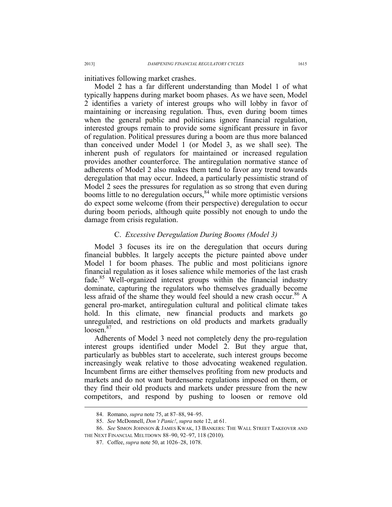initiatives following market crashes.

Model 2 has a far different understanding than Model 1 of what typically happens during market boom phases. As we have seen, Model 2 identifies a variety of interest groups who will lobby in favor of maintaining or increasing regulation. Thus, even during boom times when the general public and politicians ignore financial regulation, interested groups remain to provide some significant pressure in favor of regulation. Political pressures during a boom are thus more balanced than conceived under Model 1 (or Model 3, as we shall see). The inherent push of regulators for maintained or increased regulation provides another counterforce. The antiregulation normative stance of adherents of Model 2 also makes them tend to favor any trend towards deregulation that may occur. Indeed, a particularly pessimistic strand of Model 2 sees the pressures for regulation as so strong that even during booms little to no deregulation occurs,  $84$  while more optimistic versions do expect some welcome (from their perspective) deregulation to occur during boom periods, although quite possibly not enough to undo the damage from crisis regulation.

### C. *Excessive Deregulation During Booms (Model 3)*

Model 3 focuses its ire on the deregulation that occurs during financial bubbles. It largely accepts the picture painted above under Model 1 for boom phases. The public and most politicians ignore financial regulation as it loses salience while memories of the last crash fade.<sup>85</sup> Well-organized interest groups within the financial industry dominate, capturing the regulators who themselves gradually become less afraid of the shame they would feel should a new crash occur.<sup>86</sup> A general pro-market, antiregulation cultural and political climate takes hold. In this climate, new financial products and markets go unregulated, and restrictions on old products and markets gradually  $loosen<sup>87</sup>$ 

Adherents of Model 3 need not completely deny the pro-regulation interest groups identified under Model 2. But they argue that, particularly as bubbles start to accelerate, such interest groups become increasingly weak relative to those advocating weakened regulation. Incumbent firms are either themselves profiting from new products and markets and do not want burdensome regulations imposed on them, or they find their old products and markets under pressure from the new competitors, and respond by pushing to loosen or remove old

 <sup>84.</sup> Romano, *supra* note 75, at 87–88, 94–95.

 <sup>85.</sup> *See* McDonnell, *Don't Panic!*, *supra* note 12, at 61.

 <sup>86.</sup> *See* SIMON JOHNSON & JAMES KWAK, 13 BANKERS: THE WALL STREET TAKEOVER AND THE NEXT FINANCIAL MELTDOWN 88–90, 92–97, 118 (2010).

 <sup>87.</sup> Coffee, *supra* note 50, at 1026–28, 1078.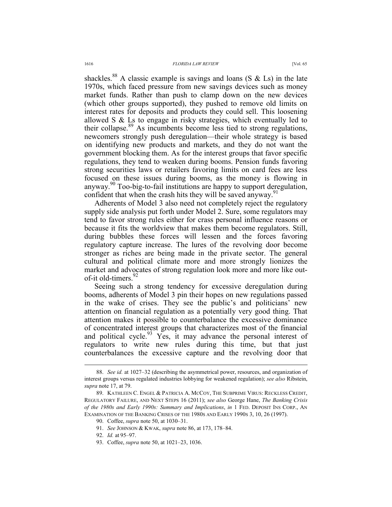shackles.<sup>88</sup> A classic example is savings and loans (S & Ls) in the late 1970s, which faced pressure from new savings devices such as money market funds. Rather than push to clamp down on the new devices (which other groups supported), they pushed to remove old limits on interest rates for deposits and products they could sell. This loosening allowed S & Ls to engage in risky strategies, which eventually led to their collapse.89 As incumbents become less tied to strong regulations, newcomers strongly push deregulation—their whole strategy is based on identifying new products and markets, and they do not want the government blocking them. As for the interest groups that favor specific regulations, they tend to weaken during booms. Pension funds favoring strong securities laws or retailers favoring limits on card fees are less focused on these issues during booms, as the money is flowing in anyway.90 Too-big-to-fail institutions are happy to support deregulation, confident that when the crash hits they will be saved anyway.<sup>91</sup>

Adherents of Model 3 also need not completely reject the regulatory supply side analysis put forth under Model 2. Sure, some regulators may tend to favor strong rules either for crass personal influence reasons or because it fits the worldview that makes them become regulators. Still, during bubbles these forces will lessen and the forces favoring regulatory capture increase. The lures of the revolving door become stronger as riches are being made in the private sector. The general cultural and political climate more and more strongly lionizes the market and advocates of strong regulation look more and more like outof-it old-timers.<sup>92</sup>

Seeing such a strong tendency for excessive deregulation during booms, adherents of Model 3 pin their hopes on new regulations passed in the wake of crises. They see the public's and politicians' new attention on financial regulation as a potentially very good thing. That attention makes it possible to counterbalance the excessive dominance of concentrated interest groups that characterizes most of the financial and political cycle.<sup>93</sup> Yes, it may advance the personal interest of regulators to write new rules during this time, but that just counterbalances the excessive capture and the revolving door that

 <sup>88.</sup> *See id.* at 1027–32 (describing the asymmetrical power, resources, and organization of interest groups versus regulated industries lobbying for weakened regulation); *see also* Ribstein, *supra* note 17, at 79.

 <sup>89.</sup> KATHLEEN C. ENGEL & PATRICIA A. MCCOY, THE SUBPRIME VIRUS: RECKLESS CREDIT, REGULATORY FAILURE, AND NEXT STEPS 16 (2011); *see also* George Hane, *The Banking Crisis of the 1980s and Early 1990s: Summary and Implications*, *in* 1 FED. DEPOSIT INS CORP., AN EXAMINATION OF THE BANKING CRISES OF THE 1980S AND EARLY 1990S 3, 10, 26 (1997).

 <sup>90.</sup> Coffee, *supra* note 50, at 1030–31.

 <sup>91.</sup> *See* JOHNSON & KWAK, *supra* note 86, at 173, 178–84.

 <sup>92.</sup> *Id.* at 95–97.

 <sup>93.</sup> Coffee, *supra* note 50, at 1021–23, 1036.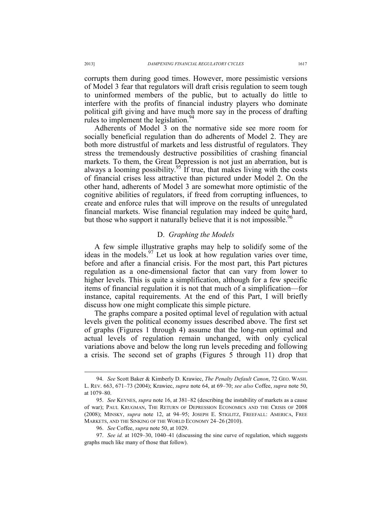corrupts them during good times. However, more pessimistic versions of Model 3 fear that regulators will draft crisis regulation to seem tough to uninformed members of the public, but to actually do little to interfere with the profits of financial industry players who dominate political gift giving and have much more say in the process of drafting rules to implement the legislation.<sup>94</sup>

Adherents of Model 3 on the normative side see more room for socially beneficial regulation than do adherents of Model 2. They are both more distrustful of markets and less distrustful of regulators. They stress the tremendously destructive possibilities of crashing financial markets. To them, the Great Depression is not just an aberration, but is always a looming possibility.<sup>95</sup> If true, that makes living with the costs of financial crises less attractive than pictured under Model 2. On the other hand, adherents of Model 3 are somewhat more optimistic of the cognitive abilities of regulators, if freed from corrupting influences, to create and enforce rules that will improve on the results of unregulated financial markets. Wise financial regulation may indeed be quite hard, but those who support it naturally believe that it is not impossible.<sup>96</sup>

# D. *Graphing the Models*

A few simple illustrative graphs may help to solidify some of the ideas in the models.  $97$  Let us look at how regulation varies over time, before and after a financial crisis. For the most part, this Part pictures regulation as a one-dimensional factor that can vary from lower to higher levels. This is quite a simplification, although for a few specific items of financial regulation it is not that much of a simplification—for instance, capital requirements. At the end of this Part, I will briefly discuss how one might complicate this simple picture.

The graphs compare a posited optimal level of regulation with actual levels given the political economy issues described above. The first set of graphs (Figures 1 through 4) assume that the long-run optimal and actual levels of regulation remain unchanged, with only cyclical variations above and below the long run levels preceding and following a crisis. The second set of graphs (Figures 5 through 11) drop that

 <sup>94.</sup> *See* Scott Baker & Kimberly D. Krawiec, *The Penalty Default Canon*, 72 GEO. WASH. L. REV. 663, 671–73 (2004); Krawiec, *supra* note 64, at 69–70; *see also* Coffee, *supra* note 50, at 1079–80.

 <sup>95.</sup> *See* KEYNES, *supra* note 16, at 381–82 (describing the instability of markets as a cause of war); PAUL KRUGMAN, THE RETURN OF DEPRESSION ECONOMICS AND THE CRISIS OF 2008 (2008); MINSKY, *supra* note 12, at 94–95; JOSEPH E. STIGLITZ, FREEFALL: AMERICA, FREE MARKETS, AND THE SINKING OF THE WORLD ECONOMY 24–26 (2010).

 <sup>96.</sup> *See* Coffee, *supra* note 50, at 1029.

 <sup>97.</sup> *See id.* at 1029–30, 1040–41 (discussing the sine curve of regulation, which suggests graphs much like many of those that follow).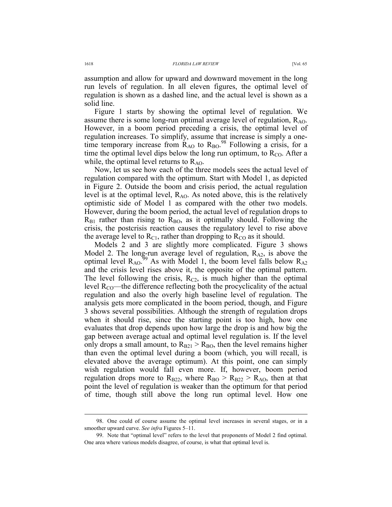assumption and allow for upward and downward movement in the long run levels of regulation. In all eleven figures, the optimal level of regulation is shown as a dashed line, and the actual level is shown as a solid line.

Figure 1 starts by showing the optimal level of regulation. We assume there is some long-run optimal average level of regulation,  $R_{AO}$ . However, in a boom period preceding a crisis, the optimal level of regulation increases. To simplify, assume that increase is simply a onetime temporary increase from  $R_{AO}$  to  $R_{BO}$ .<sup>98</sup> Following a crisis, for a time the optimal level dips below the long run optimum, to  $R_{CO}$ . After a while, the optimal level returns to  $R_{AO}$ .

Now, let us see how each of the three models sees the actual level of regulation compared with the optimum. Start with Model 1, as depicted in Figure 2. Outside the boom and crisis period, the actual regulation level is at the optimal level,  $R_{AO}$ . As noted above, this is the relatively optimistic side of Model 1 as compared with the other two models. However, during the boom period, the actual level of regulation drops to  $R_{B1}$  rather than rising to  $R_{B0}$ , as it optimally should. Following the crisis, the postcrisis reaction causes the regulatory level to rise above the average level to  $R_{C1}$ , rather than dropping to  $R_{C0}$  as it should.

Models 2 and 3 are slightly more complicated. Figure 3 shows Model 2. The long-run average level of regulation,  $R_{A2}$ , is above the optimal level  $R_{AO}^{99}$  As with Model 1, the boom level falls below  $R_{A2}$ and the crisis level rises above it, the opposite of the optimal pattern. The level following the crisis,  $R_{C2}$ , is much higher than the optimal level  $R_{CO}$ —the difference reflecting both the procyclicality of the actual regulation and also the overly high baseline level of regulation. The analysis gets more complicated in the boom period, though, and Figure 3 shows several possibilities. Although the strength of regulation drops when it should rise, since the starting point is too high, how one evaluates that drop depends upon how large the drop is and how big the gap between average actual and optimal level regulation is. If the level only drops a small amount, to  $R_{B21} > R_{B0}$ , then the level remains higher than even the optimal level during a boom (which, you will recall, is elevated above the average optimum). At this point, one can simply wish regulation would fall even more. If, however, boom period regulation drops more to  $R_{B22}$ , where  $R_{B0} > R_{B22} > R_{AO}$ , then at that point the level of regulation is weaker than the optimum for that period of time, though still above the long run optimal level. How one

 <sup>98.</sup> One could of course assume the optimal level increases in several stages, or in a smoother upward curve. *See infra* Figures 5–11.

 <sup>99.</sup> Note that "optimal level" refers to the level that proponents of Model 2 find optimal. One area where various models disagree, of course, is what that optimal level is.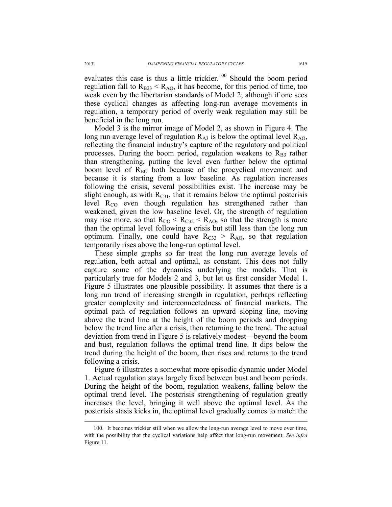evaluates this case is thus a little trickier.<sup>100</sup> Should the boom period regulation fall to  $R_{B23}$  <  $R_{AO}$ , it has become, for this period of time, too weak even by the libertarian standards of Model 2; although if one sees these cyclical changes as affecting long-run average movements in regulation, a temporary period of overly weak regulation may still be beneficial in the long run.

Model 3 is the mirror image of Model 2, as shown in Figure 4. The long run average level of regulation  $R_{A3}$  is below the optimal level  $R_{AO}$ , reflecting the financial industry's capture of the regulatory and political processes. During the boom period, regulation weakens to  $R_{B3}$  rather than strengthening, putting the level even further below the optimal boom level of  $R_{BO}$  both because of the procyclical movement and because it is starting from a low baseline. As regulation increases following the crisis, several possibilities exist. The increase may be slight enough, as with  $R<sub>C31</sub>$ , that it remains below the optimal postcrisis level  $R_{CO}$  even though regulation has strengthened rather than weakened, given the low baseline level. Or, the strength of regulation may rise more, so that  $R_{CO} < R_{C32} < R_{AO}$ , so that the strength is more than the optimal level following a crisis but still less than the long run optimum. Finally, one could have  $R_{C33} > R_{AO}$ , so that regulation temporarily rises above the long-run optimal level.

These simple graphs so far treat the long run average levels of regulation, both actual and optimal, as constant. This does not fully capture some of the dynamics underlying the models. That is particularly true for Models 2 and 3, but let us first consider Model 1. Figure 5 illustrates one plausible possibility. It assumes that there is a long run trend of increasing strength in regulation, perhaps reflecting greater complexity and interconnectedness of financial markets. The optimal path of regulation follows an upward sloping line, moving above the trend line at the height of the boom periods and dropping below the trend line after a crisis, then returning to the trend. The actual deviation from trend in Figure 5 is relatively modest—beyond the boom and bust, regulation follows the optimal trend line. It dips below the trend during the height of the boom, then rises and returns to the trend following a crisis.

Figure 6 illustrates a somewhat more episodic dynamic under Model 1. Actual regulation stays largely fixed between bust and boom periods. During the height of the boom, regulation weakens, falling below the optimal trend level. The postcrisis strengthening of regulation greatly increases the level, bringing it well above the optimal level. As the postcrisis stasis kicks in, the optimal level gradually comes to match the

 <sup>100.</sup> It becomes trickier still when we allow the long-run average level to move over time, with the possibility that the cyclical variations help affect that long-run movement. *See infra* Figure 11.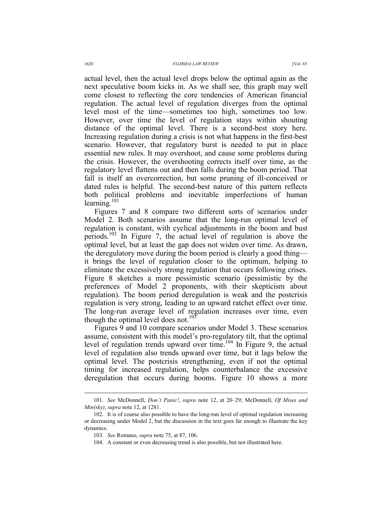actual level, then the actual level drops below the optimal again as the next speculative boom kicks in. As we shall see, this graph may well come closest to reflecting the core tendencies of American financial regulation. The actual level of regulation diverges from the optimal level most of the time—sometimes too high, sometimes too low. However, over time the level of regulation stays within shouting distance of the optimal level. There is a second-best story here. Increasing regulation during a crisis is not what happens in the first-best scenario. However, that regulatory burst is needed to put in place essential new rules. It may overshoot, and cause some problems during the crisis. However, the overshooting corrects itself over time, as the regulatory level flattens out and then falls during the boom period. That fall is itself an overcorrection, but some pruning of ill-conceived or dated rules is helpful. The second-best nature of this pattern reflects both political problems and inevitable imperfections of human

Figures 7 and 8 compare two different sorts of scenarios under Model 2. Both scenarios assume that the long-run optimal level of regulation is constant, with cyclical adjustments in the boom and bust periods.102 In Figure 7, the actual level of regulation is above the optimal level, but at least the gap does not widen over time. As drawn, the deregulatory move during the boom period is clearly a good thing it brings the level of regulation closer to the optimum, helping to eliminate the excessively strong regulation that occurs following crises. Figure 8 sketches a more pessimistic scenario (pessimistic by the preferences of Model 2 proponents, with their skepticism about regulation). The boom period deregulation is weak and the postcrisis regulation is very strong, leading to an upward ratchet effect over time. The long-run average level of regulation increases over time, even though the optimal level does not.<sup>103</sup>

Figures 9 and 10 compare scenarios under Model 3. These scenarios assume, consistent with this model's pro-regulatory tilt, that the optimal level of regulation trends upward over time.<sup>104</sup> In Figure 9, the actual level of regulation also trends upward over time, but it lags below the optimal level. The postcrisis strengthening, even if not the optimal timing for increased regulation, helps counterbalance the excessive deregulation that occurs during booms. Figure 10 shows a more

learning. $101$ 

 <sup>101.</sup> *See* McDonnell, *Don't Panic!*, *supra* note 12, at 20–29; McDonnell, *Of Mises and Min(sky)*, *supra* note 12, at 1281.

 <sup>102.</sup> It is of course also possible to have the long-run level of optimal regulation increasing or decreasing under Model 2, but the discussion in the text goes far enough to illustrate the key dynamics.

 <sup>103.</sup> *See* Romano, *supra* note 75, at 87, 106.

 <sup>104.</sup> A constant or even decreasing trend is also possible, but not illustrated here.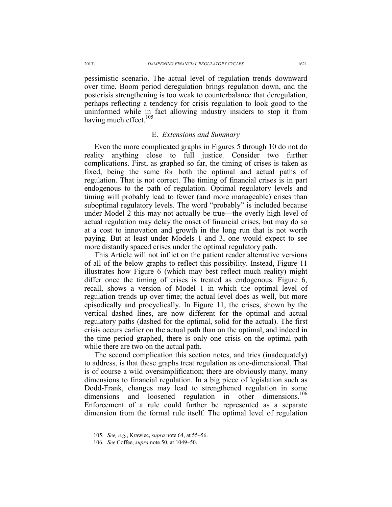pessimistic scenario. The actual level of regulation trends downward over time. Boom period deregulation brings regulation down, and the postcrisis strengthening is too weak to counterbalance that deregulation, perhaps reflecting a tendency for crisis regulation to look good to the uninformed while in fact allowing industry insiders to stop it from having much effect.<sup>105</sup>

## E. *Extensions and Summary*

Even the more complicated graphs in Figures 5 through 10 do not do reality anything close to full justice. Consider two further complications. First, as graphed so far, the timing of crises is taken as fixed, being the same for both the optimal and actual paths of regulation. That is not correct. The timing of financial crises is in part endogenous to the path of regulation. Optimal regulatory levels and timing will probably lead to fewer (and more manageable) crises than suboptimal regulatory levels. The word "probably" is included because under Model 2 this may not actually be true—the overly high level of actual regulation may delay the onset of financial crises, but may do so at a cost to innovation and growth in the long run that is not worth paying. But at least under Models 1 and 3, one would expect to see more distantly spaced crises under the optimal regulatory path.

This Article will not inflict on the patient reader alternative versions of all of the below graphs to reflect this possibility. Instead, Figure 11 illustrates how Figure 6 (which may best reflect much reality) might differ once the timing of crises is treated as endogenous. Figure 6, recall, shows a version of Model 1 in which the optimal level of regulation trends up over time; the actual level does as well, but more episodically and procyclically. In Figure 11, the crises, shown by the vertical dashed lines, are now different for the optimal and actual regulatory paths (dashed for the optimal, solid for the actual). The first crisis occurs earlier on the actual path than on the optimal, and indeed in the time period graphed, there is only one crisis on the optimal path while there are two on the actual path.

The second complication this section notes, and tries (inadequately) to address, is that these graphs treat regulation as one-dimensional. That is of course a wild oversimplification; there are obviously many, many dimensions to financial regulation. In a big piece of legislation such as Dodd-Frank, changes may lead to strengthened regulation in some dimensions and loosened regulation in other dimensions.<sup>106</sup> Enforcement of a rule could further be represented as a separate dimension from the formal rule itself. The optimal level of regulation

 <sup>105.</sup> *See, e.g.*, Krawiec, *supra* note 64, at 55–56.

 <sup>106.</sup> *See* Coffee, *supra* note 50, at 1049–50.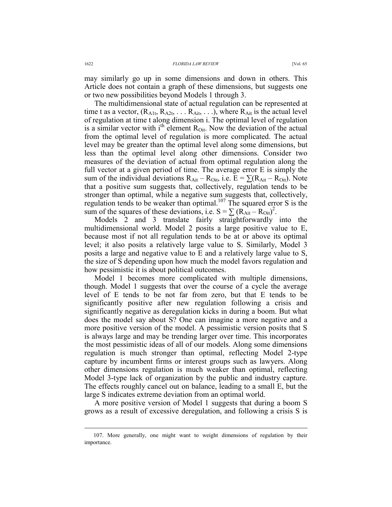may similarly go up in some dimensions and down in others. This Article does not contain a graph of these dimensions, but suggests one or two new possibilities beyond Models 1 through 3.

The multidimensional state of actual regulation can be represented at time t as a vector,  $(R_{A1t}, R_{A2t}, \ldots R_{Ait}, \ldots)$ , where  $R_{Ait}$  is the actual level of regulation at time t along dimension i. The optimal level of regulation is a similar vector with  $i<sup>th</sup>$  element  $R<sub>Oit</sub>$ . Now the deviation of the actual from the optimal level of regulation is more complicated. The actual level may be greater than the optimal level along some dimensions, but less than the optimal level along other dimensions. Consider two measures of the deviation of actual from optimal regulation along the full vector at a given period of time. The average error E is simply the sum of the individual deviations  $R_{\text{Ait}} - R_{\text{Oit}}$ , i.e.  $E = \sum (R_{\text{Ait}} - R_{\text{Oit}})$ . Note that a positive sum suggests that, collectively, regulation tends to be stronger than optimal, while a negative sum suggests that, collectively, regulation tends to be weaker than optimal.107 The squared error S is the sum of the squares of these deviations, i.e.  $S = \sum (R_{\text{Ait}} - R_{\text{Oit}})^2$ .

Models 2 and 3 translate fairly straightforwardly into the multidimensional world. Model 2 posits a large positive value to E, because most if not all regulation tends to be at or above its optimal level; it also posits a relatively large value to S. Similarly, Model 3 posits a large and negative value to E and a relatively large value to S, the size of S depending upon how much the model favors regulation and how pessimistic it is about political outcomes.

Model 1 becomes more complicated with multiple dimensions, though. Model 1 suggests that over the course of a cycle the average level of E tends to be not far from zero, but that E tends to be significantly positive after new regulation following a crisis and significantly negative as deregulation kicks in during a boom. But what does the model say about S? One can imagine a more negative and a more positive version of the model. A pessimistic version posits that S is always large and may be trending larger over time. This incorporates the most pessimistic ideas of all of our models. Along some dimensions regulation is much stronger than optimal, reflecting Model 2-type capture by incumbent firms or interest groups such as lawyers. Along other dimensions regulation is much weaker than optimal, reflecting Model 3-type lack of organization by the public and industry capture. The effects roughly cancel out on balance, leading to a small E, but the large S indicates extreme deviation from an optimal world.

A more positive version of Model 1 suggests that during a boom S grows as a result of excessive deregulation, and following a crisis S is

 <sup>107.</sup> More generally, one might want to weight dimensions of regulation by their importance.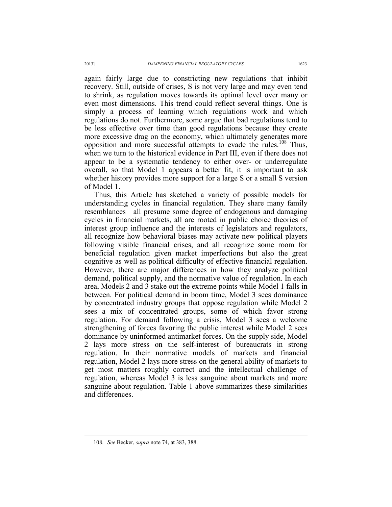again fairly large due to constricting new regulations that inhibit recovery. Still, outside of crises, S is not very large and may even tend to shrink, as regulation moves towards its optimal level over many or even most dimensions. This trend could reflect several things. One is simply a process of learning which regulations work and which regulations do not. Furthermore, some argue that bad regulations tend to be less effective over time than good regulations because they create more excessive drag on the economy, which ultimately generates more opposition and more successful attempts to evade the rules.<sup>108</sup> Thus, when we turn to the historical evidence in Part III, even if there does not appear to be a systematic tendency to either over- or underregulate overall, so that Model 1 appears a better fit, it is important to ask whether history provides more support for a large S or a small S version of Model 1.

Thus, this Article has sketched a variety of possible models for understanding cycles in financial regulation. They share many family resemblances—all presume some degree of endogenous and damaging cycles in financial markets, all are rooted in public choice theories of interest group influence and the interests of legislators and regulators, all recognize how behavioral biases may activate new political players following visible financial crises, and all recognize some room for beneficial regulation given market imperfections but also the great cognitive as well as political difficulty of effective financial regulation. However, there are major differences in how they analyze political demand, political supply, and the normative value of regulation. In each area, Models 2 and 3 stake out the extreme points while Model 1 falls in between. For political demand in boom time, Model 3 sees dominance by concentrated industry groups that oppose regulation while Model 2 sees a mix of concentrated groups, some of which favor strong regulation. For demand following a crisis, Model 3 sees a welcome strengthening of forces favoring the public interest while Model 2 sees dominance by uninformed antimarket forces. On the supply side, Model 2 lays more stress on the self-interest of bureaucrats in strong regulation. In their normative models of markets and financial regulation, Model 2 lays more stress on the general ability of markets to get most matters roughly correct and the intellectual challenge of regulation, whereas Model 3 is less sanguine about markets and more sanguine about regulation. Table 1 above summarizes these similarities and differences.

 <sup>108.</sup> *See* Becker, *supra* note 74, at 383, 388.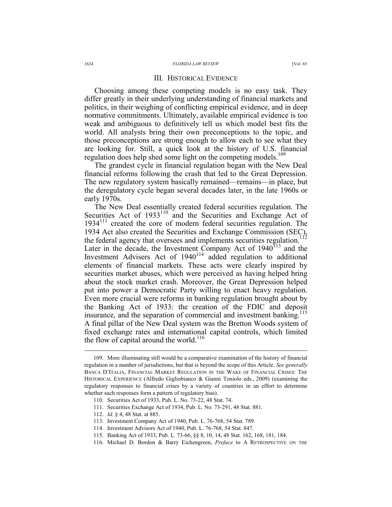#### III. HISTORICAL EVIDENCE

Choosing among these competing models is no easy task. They differ greatly in their underlying understanding of financial markets and politics, in their weighing of conflicting empirical evidence, and in deep normative commitments. Ultimately, available empirical evidence is too weak and ambiguous to definitively tell us which model best fits the world. All analysts bring their own preconceptions to the topic, and those preconceptions are strong enough to allow each to see what they are looking for. Still, a quick look at the history of U.S. financial regulation does help shed some light on the competing models.<sup>109</sup>

The grandest cycle in financial regulation began with the New Deal financial reforms following the crash that led to the Great Depression. The new regulatory system basically remained—remains—in place, but the deregulatory cycle began several decades later, in the late 1960s or early 1970s.

The New Deal essentially created federal securities regulation. The Securities Act of 1933<sup>110</sup> and the Securities and Exchange Act of  $1934$ <sup>111</sup> created the core of modern federal securities regulation. The 1934 Act also created the Securities and Exchange Commission (SEC), the federal agency that oversees and implements securities regulation.<sup>112</sup> Later in the decade, the Investment Company Act of  $1940^{113}$  and the Investment Advisers Act of  $1940^{114}$  added regulation to additional elements of financial markets. These acts were clearly inspired by securities market abuses, which were perceived as having helped bring about the stock market crash. Moreover, the Great Depression helped put into power a Democratic Party willing to enact heavy regulation. Even more crucial were reforms in banking regulation brought about by the Banking Act of 1933: the creation of the FDIC and deposit insurance, and the separation of commercial and investment banking.<sup>115</sup> A final pillar of the New Deal system was the Bretton Woods system of fixed exchange rates and international capital controls, which limited the flow of capital around the world.<sup>116</sup>

 <sup>109.</sup> More illuminating still would be a comparative examination of the history of financial regulation in a number of jurisdictions, but that is beyond the scope of this Article. *See generally*  BANCA D'ITALIA, FINANCIAL MARKET REGULATION IN THE WAKE OF FINANCIAL CRISES: THE HISTORICAL EXPERIENCE (Alfredo Gigliobianco & Gianni Toniolo eds., 2009) (examining the regulatory responses to financial crises by a variety of countries in an effort to determine whether such responses form a pattern of regulatory bias).

 <sup>110.</sup> Securities Act of 1933, Pub. L. No. 73-22, 48 Stat. 74.

 <sup>111.</sup> Securities Exchange Act of 1934, Pub. L. No. 73-291, 48 Stat. 881.

 <sup>112.</sup> *Id.* § 4, 48 Stat. at 885.

 <sup>113.</sup> Investment Company Act of 1940, Pub. L. 76-768, 54 Stat. 789.

 <sup>114.</sup> Investment Advisors Act of 1940, Pub. L. 76-768, 54 Stat. 847.

 <sup>115.</sup> Banking Act of 1933, Pub. L. 73-66, §§ 8, 10, 14, 48 Stat. 162, 168, 181, 184.

 <sup>116.</sup> Michael D. Bordon & Barry Eichengreen, *Preface* to A RETROSPECTIVE ON THE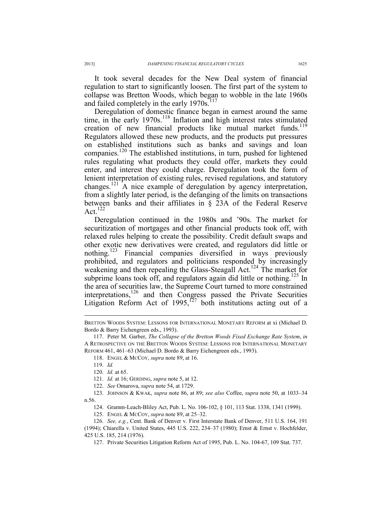It took several decades for the New Deal system of financial regulation to start to significantly loosen. The first part of the system to collapse was Bretton Woods, which began to wobble in the late 1960s and failed completely in the early 1970s.<sup>117</sup>

Deregulation of domestic finance began in earnest around the same time, in the early  $1970s$ .<sup>118</sup> Inflation and high interest rates stimulated creation of new financial products like mutual market funds.<sup>119</sup> Regulators allowed these new products, and the products put pressures on established institutions such as banks and savings and loan companies.<sup>120</sup> The established institutions, in turn, pushed for lightened rules regulating what products they could offer, markets they could enter, and interest they could charge. Deregulation took the form of lenient interpretation of existing rules, revised regulations, and statutory changes.<sup>121</sup> A nice example of deregulation by agency interpretation, from a slightly later period, is the defanging of the limits on transactions between banks and their affiliates in § 23A of the Federal Reserve Act. $122$ 

Deregulation continued in the 1980s and '90s. The market for securitization of mortgages and other financial products took off, with relaxed rules helping to create the possibility. Credit default swaps and other exotic new derivatives were created, and regulators did little or nothing.<sup>123</sup> Financial companies diversified in ways previously prohibited, and regulators and politicians responded by increasingly weakening and then repealing the Glass-Steagall Act.<sup>124</sup> The market for subprime loans took off, and regulators again did little or nothing.<sup>125</sup> In the area of securities law, the Supreme Court turned to more constrained interpretations,<sup>126</sup> and then Congress passed the Private Securities Litigation Reform Act of 1995,<sup>127</sup> both institutions acting out of a

BRETTON WOODS SYSTEM: LESSONS FOR INTERNATIONAL MONETARY REFORM at xi (Michael D. Bordo & Barry Eichengreen eds., 1993).

 <sup>117.</sup> Peter M. Garber, *The Collapse of the Bretton Woods Fixed Exchange Rate System*, *in*  A RETROSPECTIVE ON THE BRETTON WOODS SYSTEM: LESSONS FOR INTERNATIONAL MONETARY REFORM 461, 461–63 (Michael D. Bordo & Barry Eichengreen eds., 1993).

 <sup>118.</sup> ENGEL & MCCOY, *supra* note 89, at 16.

 <sup>119.</sup> *Id.*

 <sup>120.</sup> *Id.* at 65.

 <sup>121.</sup> *Id.* at 16; GERDING, *supra* note 5, at 12.

 <sup>122.</sup> *See* Omarova, *supra* note 54, at 1729.

 <sup>123.</sup> JOHNSON & KWAK, *supra* note 86, at 89; *see also* Coffee, *supra* note 50, at 1033–34 n.56.

 <sup>124.</sup> Gramm-Leach-Bliley Act, Pub. L. No. 106-102, § 101, 113 Stat. 1338, 1341 (1999).

 <sup>125.</sup> ENGEL & MCCOY, *supra* note 89, at 25–32.

 <sup>126.</sup> *See, e.g.*, Cent. Bank of Denver v. First Interstate Bank of Denver, 511 U.S. 164, 191 (1994); Chiarella v. United States, 445 U.S. 222, 234–37 (1980); Ernst & Ernst v. Hochfelder, 425 U.S. 185, 214 (1976).

 <sup>127.</sup> Private Securities Litigation Reform Act of 1995, Pub. L. No. 104-67, 109 Stat. 737.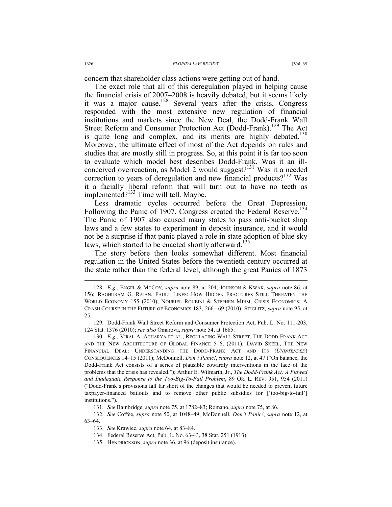concern that shareholder class actions were getting out of hand.

The exact role that all of this deregulation played in helping cause the financial crisis of 2007–2008 is heavily debated, but it seems likely it was a major cause.<sup>128</sup> Several years after the crisis, Congress responded with the most extensive new regulation of financial institutions and markets since the New Deal, the Dodd-Frank Wall Street Reform and Consumer Protection Act (Dodd-Frank).<sup>129</sup> The Act is quite long and complex, and its merits are highly debated.<sup>130</sup> Moreover, the ultimate effect of most of the Act depends on rules and studies that are mostly still in progress. So, at this point it is far too soon to evaluate which model best describes Dodd-Frank. Was it an illconceived overreaction, as Model 2 would suggest?<sup>131</sup> Was it a needed correction to years of deregulation and new financial products?<sup>132</sup> Was it a facially liberal reform that will turn out to have no teeth as implemented?<sup>133</sup> Time will tell. Maybe.

Less dramatic cycles occurred before the Great Depression. Following the Panic of 1907, Congress created the Federal Reserve.<sup>134</sup> The Panic of 1907 also caused many states to pass anti-bucket shop laws and a few states to experiment in deposit insurance, and it would not be a surprise if that panic played a role in state adoption of blue sky laws, which started to be enacted shortly afterward.<sup>135</sup>

The story before then looks somewhat different. Most financial regulation in the United States before the twentieth century occurred at the state rather than the federal level, although the great Panics of 1873

 <sup>128.</sup> *E.g.*, ENGEL & MCCOY, *supra* note 89, at 204; JOHNSON & KWAK, *supra* note 86, at 156; RAGHURAM G. RAJAN, FAULT LINES: HOW HIDDEN FRACTURES STILL THREATEN THE WORLD ECONOMY 155 (2010); NOURIEL ROUBINI & STEPHEN MIHM, CRISIS ECONOMICS: A CRASH COURSE IN THE FUTURE OF ECONOMICS 183, 266– 69 (2010); STIGLITZ, *supra* note 95, at 25.

 <sup>129.</sup> Dodd-Frank Wall Street Reform and Consumer Protection Act, Pub. L. No. 111-203, 124 Stat. 1376 (2010); *see also* Omarova, *supra* note 54, at 1685.

 <sup>130.</sup> *E.g.*, VIRAL A. ACHARYA ET AL., REGULATING WALL STREET: THE DODD-FRANK ACT AND THE NEW ARCHITECTURE OF GLOBAL FINANCE 5–6, (2011); DAVID SKEEL, THE NEW FINANCIAL DEAL: UNDERSTANDING THE DODD-FRANK ACT AND ITS (*UNINTENDED*) CONSEQUENCES 14–15 (2011); McDonnell, *Don't Panic!*, *supra* note 12, at 47 ("On balance, the Dodd-Frank Act consists of a series of plausible cowardly interventions in the face of the problems that the crisis has revealed."); Arthur E. Wilmarth, Jr., *The Dodd-Frank Act: A Flawed and Inadequate Response to the Too-Big-To-Fail Problem*, 89 OR. L. REV. 951, 954 (2011) ("Dodd-Frank's provisions fall far short of the changes that would be needed to prevent future taxpayer-financed bailouts and to remove other public subsidies for ['too-big-to-fail'] institutions.").

 <sup>131.</sup> *See* Bainbridge, *supra* note 75, at 1782–83; Romano, *supra* note 75, at 86.

 <sup>132.</sup> *See* Coffee, *supra* note 50, at 1048–49; McDonnell, *Don't Panic!*, *supra* note 12, at 63–64.

 <sup>133.</sup> *See* Krawiec, *supra* note 64, at 83–84.

 <sup>134.</sup> Federal Reserve Act, Pub. L. No. 63-43, 38 Stat. 251 (1913).

 <sup>135.</sup> HENDRICKSON, *supra* note 36, at 96 (deposit insurance).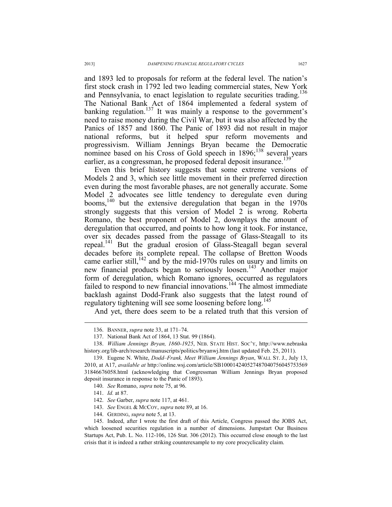and 1893 led to proposals for reform at the federal level. The nation's first stock crash in 1792 led two leading commercial states, New York and Pennsylvania, to enact legislation to regulate securities trading.<sup>136</sup> The National Bank Act of 1864 implemented a federal system of banking regulation.<sup>137</sup> It was mainly a response to the government's need to raise money during the Civil War, but it was also affected by the Panics of 1857 and 1860. The Panic of 1893 did not result in major national reforms, but it helped spur reform movements and progressivism. William Jennings Bryan became the Democratic nominee based on his Cross of Gold speech in  $1896$ ;<sup>138</sup> several years earlier, as a congressman, he proposed federal deposit insurance.<sup>139</sup>

Even this brief history suggests that some extreme versions of Models 2 and 3, which see little movement in their preferred direction even during the most favorable phases, are not generally accurate. Some Model 2 advocates see little tendency to deregulate even during booms, $140$  but the extensive deregulation that began in the 1970s strongly suggests that this version of Model 2 is wrong. Roberta Romano, the best proponent of Model 2, downplays the amount of deregulation that occurred, and points to how long it took. For instance, over six decades passed from the passage of Glass-Steagall to its repeal.<sup>141</sup> But the gradual erosion of Glass-Steagall began several decades before its complete repeal. The collapse of Bretton Woods came earlier still,<sup>142</sup> and by the mid-1970s rules on usury and limits on new financial products began to seriously loosen.<sup>143</sup> Another major form of deregulation, which Romano ignores, occurred as regulators failed to respond to new financial innovations.<sup>144</sup> The almost immediate backlash against Dodd-Frank also suggests that the latest round of regulatory tightening will see some loosening before long.<sup>145</sup>

And yet, there does seem to be a related truth that this version of

- 142. *See* Garber, *supra* note 117, at 461.
- 143. *See* ENGEL & MCCOY, *supra* note 89, at 16.
- 144. GERDING, *supra* note 5, at 13.

 <sup>136.</sup> BANNER, *supra* note 33, at 171–74.

 <sup>137.</sup> National Bank Act of 1864, 13 Stat. 99 (1864).

 <sup>138.</sup> *William Jennings Bryan, 1860-1925*, NEB. STATE HIST. SOC'Y, http://www.nebraska history.org/lib-arch/research/manuscripts/politics/bryanwj.htm (last updated Feb. 25, 2011).

 <sup>139.</sup> Eugene N. White, *Dodd–Frank, Meet William Jennings Bryan*, WALL ST. J., July 13, 2010, at A17, *available at* http://online.wsj.com/article/SB100014240527487040756045753569 31846676058.html (acknowledging that Congressman William Jennings Bryan proposed deposit insurance in response to the Panic of 1893).

 <sup>140.</sup> *See* Romano, *supra* note 75, at 96.

 <sup>141.</sup> *Id.* at 87.

 <sup>145.</sup> Indeed, after I wrote the first draft of this Article, Congress passed the JOBS Act, which loosened securities regulation in a number of dimensions. Jumpstart Our Business Startups Act, Pub. L. No. 112-106, 126 Stat. 306 (2012). This occurred close enough to the last crisis that it is indeed a rather striking counterexample to my core procyclicality claim.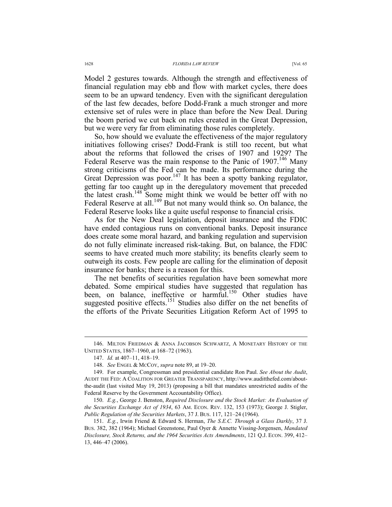Model 2 gestures towards. Although the strength and effectiveness of financial regulation may ebb and flow with market cycles, there does seem to be an upward tendency. Even with the significant deregulation of the last few decades, before Dodd-Frank a much stronger and more extensive set of rules were in place than before the New Deal. During the boom period we cut back on rules created in the Great Depression, but we were very far from eliminating those rules completely.

So, how should we evaluate the effectiveness of the major regulatory initiatives following crises? Dodd-Frank is still too recent, but what about the reforms that followed the crises of 1907 and 1929? The Federal Reserve was the main response to the Panic of 1907.<sup>146</sup> Many strong criticisms of the Fed can be made. Its performance during the Great Depression was poor.<sup>147</sup> It has been a spotty banking regulator, getting far too caught up in the deregulatory movement that preceded the latest crash.<sup>148</sup> Some might think we would be better off with no Federal Reserve at all.<sup>149</sup> But not many would think so. On balance, the Federal Reserve looks like a quite useful response to financial crisis.

As for the New Deal legislation, deposit insurance and the FDIC have ended contagious runs on conventional banks. Deposit insurance does create some moral hazard, and banking regulation and supervision do not fully eliminate increased risk-taking. But, on balance, the FDIC seems to have created much more stability; its benefits clearly seem to outweigh its costs. Few people are calling for the elimination of deposit insurance for banks; there is a reason for this.

The net benefits of securities regulation have been somewhat more debated. Some empirical studies have suggested that regulation has been, on balance, ineffective or harmful.<sup>150</sup> Other studies have suggested positive effects.<sup>151</sup> Studies also differ on the net benefits of the efforts of the Private Securities Litigation Reform Act of 1995 to

 <sup>146.</sup> MILTON FRIEDMAN & ANNA JACOBSON SCHWARTZ, A MONETARY HISTORY OF THE UNITED STATES, 1867–1960, at 168–72 (1963).

 <sup>147.</sup> *Id.* at 407–11, 418–19.

 <sup>148.</sup> *See* ENGEL & MCCOY, *supra* note 89, at 19–20.

 <sup>149.</sup> For example, Congressman and presidential candidate Ron Paul. *See About the Audit*, AUDIT THE FED: A COALITION FOR GREATER TRANSPARENCY, http://www.auditthefed.com/aboutthe-audit (last visited May 19, 2013) (proposing a bill that mandates unrestricted audits of the Federal Reserve by the Government Accountability Office).

 <sup>150.</sup> *E.g.*, George J. Benston, *Required Disclosure and the Stock Market: An Evaluation of the Securities Exchange Act of 1934*, 63 AM. ECON. REV. 132, 153 (1973); George J. Stigler, *Public Regulation of the Securities Markets*, 37 J. BUS. 117, 121–24 (1964).

 <sup>151.</sup> *E.g.*, Irwin Friend & Edward S. Herman, *The S.E.C. Through a Glass Darkly*, 37 J. BUS. 382, 382 (1964); Michael Greenstone, Paul Oyer & Annette Vissing-Jorgensen, *Mandated Disclosure, Stock Returns, and the 1964 Securities Acts Amendments*, 121 Q.J. ECON. 399, 412– 13, 446–47 (2006).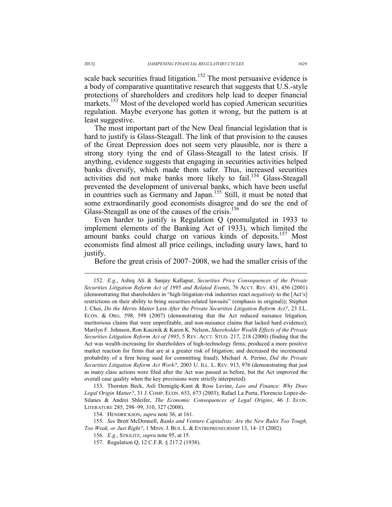scale back securities fraud litigation.<sup>152</sup> The most persuasive evidence is a body of comparative quantitative research that suggests that U.S.-style protections of shareholders and creditors help lead to deeper financial markets.<sup>153</sup> Most of the developed world has copied American securities regulation. Maybe everyone has gotten it wrong, but the pattern is at least suggestive.

The most important part of the New Deal financial legislation that is hard to justify is Glass-Steagall. The link of that provision to the causes of the Great Depression does not seem very plausible, nor is there a strong story tying the end of Glass-Steagall to the latest crisis. If anything, evidence suggests that engaging in securities activities helped banks diversify, which made them safer. Thus, increased securities activities did not make banks more likely to fail.<sup>154</sup> Glass-Steagall prevented the development of universal banks, which have been useful in countries such as Germany and Japan.<sup>155</sup> Still, it must be noted that some extraordinarily good economists disagree and do see the end of Glass-Steagall as one of the causes of the crisis.<sup>156</sup>

Even harder to justify is Regulation Q (promulgated in 1933 to implement elements of the Banking Act of 1933), which limited the amount banks could charge on various kinds of deposits.<sup>157</sup> Most economists find almost all price ceilings, including usury laws, hard to justify.

Before the great crisis of 2007–2008, we had the smaller crisis of the

 153. Thorsten Beck, Asli Demigüç-Kunt & Ross Levine, *Law and Finance: Why Does Legal Origin Matter?*, 31 J. COMP. ECON. 653, 673 (2003); Rafael La Porta, Florencio Lopez-de-Silanes & Andrei Shleifer, *The Economic Consequences of Legal Origins*, 46 J. ECON. LITERATURE 285, 298–99, 310, 327 (2008).

154. HENDRICKSON, *supra* note 36, at 161.

 <sup>152.</sup> *E.g.*, Ashiq Ali & Sanjay Kallapur, *Securities Price Consequences of the Private Securities Litigation Reform Act of 1995 and Related Events*, 76 ACCT. REV. 431, 456 (2001) (demonstrating that shareholders in "high-litigation-risk industries react *negatively* to the [Act's] restrictions on their ability to bring securities-related lawsuits" (emphasis in original)); Stephen J. Choi, *Do the Merits Matter* Less *After the Private Securities Litigation Reform Act?*, 23 J.L. ECON. & ORG. 598, 598 (2007) (demonstrating that the Act reduced nuisance litigation, meritorious claims that were unprofitable, and non-nuisance claims that lacked hard evidence); Marilyn F. Johnson, Ron Kasznik & Karen K. Nelson, *Shareholder Wealth Effects of the Private Securities Litigation Reform Act of 1995*, 5 REV. ACCT. STUD. 217, 218 (2000) (finding that the Act was wealth-increasing for shareholders of high-technology firms; produced a more positive market reaction for firms that are at a greater risk of litigation; and decreased the incremental probability of a firm being sued for committing fraud); Michael A. Perino, *Did the Private Securities Litigation Reform Act Work?*, 2003 U. ILL. L. REV. 913, 976 (demonstrating that just as many class actions were filed after the Act was passed as before, but the Act improved the overall case quality when the key provisions were strictly interpreted).

 <sup>155.</sup> *See* Brett McDonnell, *Banks and Venture Capitalists: Are the New Rules Too Tough, Too Weak, or Just Right?*, 1 MINN. J. BUS. L. & ENTREPRENEURSHIP 13, 14–15 (2002).

 <sup>156.</sup> *E.g.*, STIGLITZ, *supra* note 95, at 15.

 <sup>157.</sup> Regulation Q, 12 C.F.R. § 217.2 (1938).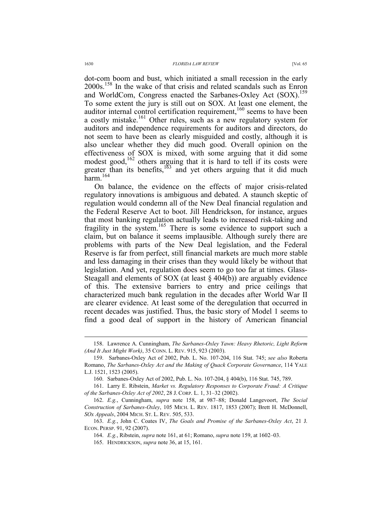dot-com boom and bust, which initiated a small recession in the early 2000s.158 In the wake of that crisis and related scandals such as Enron and WorldCom, Congress enacted the Sarbanes-Oxley Act (SOX).<sup>159</sup> To some extent the jury is still out on SOX. At least one element, the auditor internal control certification requirement,<sup>160</sup> seems to have been a costly mistake.<sup>161</sup> Other rules, such as a new regulatory system for auditors and independence requirements for auditors and directors, do not seem to have been as clearly misguided and costly, although it is also unclear whether they did much good. Overall opinion on the effectiveness of SOX is mixed, with some arguing that it did some modest good,  $162$  others arguing that it is hard to tell if its costs were greater than its benefits, $163$  and yet others arguing that it did much harm.<sup>164</sup>

On balance, the evidence on the effects of major crisis-related regulatory innovations is ambiguous and debated. A staunch skeptic of regulation would condemn all of the New Deal financial regulation and the Federal Reserve Act to boot. Jill Hendrickson, for instance, argues that most banking regulation actually leads to increased risk-taking and fragility in the system.<sup>165</sup> There is some evidence to support such a claim, but on balance it seems implausible. Although surely there are problems with parts of the New Deal legislation, and the Federal Reserve is far from perfect, still financial markets are much more stable and less damaging in their crises than they would likely be without that legislation. And yet, regulation does seem to go too far at times. Glass-Steagall and elements of SOX (at least  $\S$  404(b)) are arguably evidence of this. The extensive barriers to entry and price ceilings that characterized much bank regulation in the decades after World War II are clearer evidence. At least some of the deregulation that occurred in recent decades was justified. Thus, the basic story of Model 1 seems to find a good deal of support in the history of American financial

 <sup>158.</sup> Lawrence A. Cunningham, *The Sarbanes-Oxley Yawn: Heavy Rhetoric, Light Reform (And It Just Might Work)*, 35 CONN. L. REV. 915, 923 (2003).

 <sup>159.</sup> Sarbanes-Oxley Act of 2002, Pub. L. No. 107-204, 116 Stat. 745; *see also* Roberta Romano, *The Sarbanes-Oxley Act and the Making of Quack Corporate Governance*, 114 YALE L.J. 1521, 1523 (2005).

 <sup>160.</sup> Sarbanes-Oxley Act of 2002, Pub. L. No. 107-204, § 404(b), 116 Stat. 745, 789.

 <sup>161.</sup> Larry E. Ribstein, *Market vs. Regulatory Responses to Corporate Fraud: A Critique of the Sarbanes-Oxley Act of 2002*, 28 J. CORP. L. 1, 31–32 (2002).

 <sup>162.</sup> *E.g.*, Cunningham, *supra* note 158, at 987–88; Donald Langevoort, *The Social Construction of Sarbanes-Oxley*, 105 MICH. L. REV. 1817, 1853 (2007); Brett H. McDonnell, *SOx Appeals*, 2004 MICH. ST. L. REV. 505, 533.

 <sup>163.</sup> *E.g.*, John C. Coates IV, *The Goals and Promise of the Sarbanes-Oxley Act*, 21 J. ECON. PERSP. 91, 92 (2007).

 <sup>164.</sup> *E.g.*, Ribstein, *supra* note 161, at 61; Romano, *supra* note 159, at 1602–03.

 <sup>165.</sup> HENDRICKSON, *supra* note 36, at 15, 161.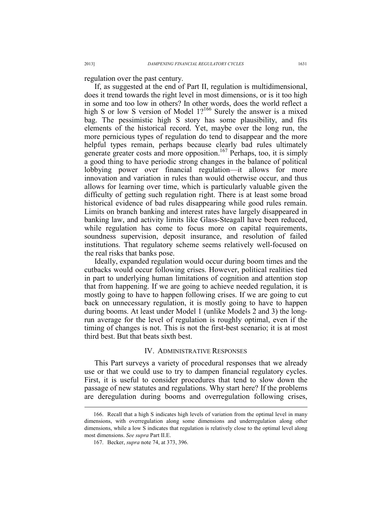regulation over the past century.

If, as suggested at the end of Part II, regulation is multidimensional, does it trend towards the right level in most dimensions, or is it too high in some and too low in others? In other words, does the world reflect a high S or low S version of Model 1?<sup>166</sup> Surely the answer is a mixed bag. The pessimistic high S story has some plausibility, and fits elements of the historical record. Yet, maybe over the long run, the more pernicious types of regulation do tend to disappear and the more helpful types remain, perhaps because clearly bad rules ultimately generate greater costs and more opposition.<sup>167</sup> Perhaps, too, it is simply a good thing to have periodic strong changes in the balance of political lobbying power over financial regulation—it allows for more innovation and variation in rules than would otherwise occur, and thus allows for learning over time, which is particularly valuable given the difficulty of getting such regulation right. There is at least some broad historical evidence of bad rules disappearing while good rules remain. Limits on branch banking and interest rates have largely disappeared in banking law, and activity limits like Glass-Steagall have been reduced, while regulation has come to focus more on capital requirements, soundness supervision, deposit insurance, and resolution of failed institutions. That regulatory scheme seems relatively well-focused on the real risks that banks pose.

Ideally, expanded regulation would occur during boom times and the cutbacks would occur following crises. However, political realities tied in part to underlying human limitations of cognition and attention stop that from happening. If we are going to achieve needed regulation, it is mostly going to have to happen following crises. If we are going to cut back on unnecessary regulation, it is mostly going to have to happen during booms. At least under Model 1 (unlike Models 2 and 3) the longrun average for the level of regulation is roughly optimal, even if the timing of changes is not. This is not the first-best scenario; it is at most third best. But that beats sixth best.

### IV. ADMINISTRATIVE RESPONSES

This Part surveys a variety of procedural responses that we already use or that we could use to try to dampen financial regulatory cycles. First, it is useful to consider procedures that tend to slow down the passage of new statutes and regulations. Why start here? If the problems are deregulation during booms and overregulation following crises,

 <sup>166.</sup> Recall that a high S indicates high levels of variation from the optimal level in many dimensions, with overregulation along some dimensions and underregulation along other dimensions, while a low S indicates that regulation is relatively close to the optimal level along most dimensions. *See supra* Part II.E.

 <sup>167.</sup> Becker, *supra* note 74, at 373, 396.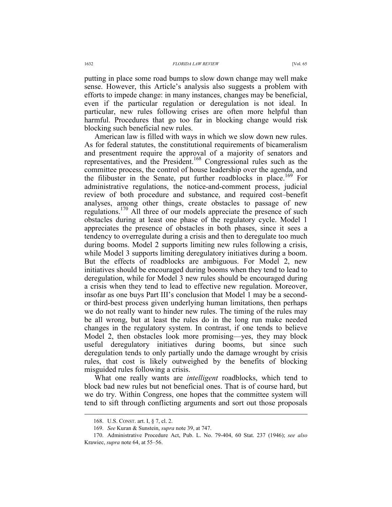putting in place some road bumps to slow down change may well make sense. However, this Article's analysis also suggests a problem with efforts to impede change: in many instances, changes may be beneficial, even if the particular regulation or deregulation is not ideal. In particular, new rules following crises are often more helpful than harmful. Procedures that go too far in blocking change would risk blocking such beneficial new rules.

American law is filled with ways in which we slow down new rules. As for federal statutes, the constitutional requirements of bicameralism and presentment require the approval of a majority of senators and representatives, and the President.<sup>168</sup> Congressional rules such as the committee process, the control of house leadership over the agenda, and the filibuster in the Senate, put further roadblocks in place.<sup>169</sup> For administrative regulations, the notice-and-comment process, judicial review of both procedure and substance, and required cost–benefit analyses, among other things, create obstacles to passage of new regulations.170 All three of our models appreciate the presence of such obstacles during at least one phase of the regulatory cycle. Model 1 appreciates the presence of obstacles in both phases, since it sees a tendency to overregulate during a crisis and then to deregulate too much during booms. Model 2 supports limiting new rules following a crisis, while Model 3 supports limiting deregulatory initiatives during a boom. But the effects of roadblocks are ambiguous. For Model 2, new initiatives should be encouraged during booms when they tend to lead to deregulation, while for Model 3 new rules should be encouraged during a crisis when they tend to lead to effective new regulation. Moreover, insofar as one buys Part III's conclusion that Model 1 may be a secondor third-best process given underlying human limitations, then perhaps we do not really want to hinder new rules. The timing of the rules may be all wrong, but at least the rules do in the long run make needed changes in the regulatory system. In contrast, if one tends to believe Model 2, then obstacles look more promising—yes, they may block useful deregulatory initiatives during booms, but since such deregulation tends to only partially undo the damage wrought by crisis rules, that cost is likely outweighed by the benefits of blocking misguided rules following a crisis.

What one really wants are *intelligent* roadblocks, which tend to block bad new rules but not beneficial ones. That is of course hard, but we do try. Within Congress, one hopes that the committee system will tend to sift through conflicting arguments and sort out those proposals

 <sup>168.</sup> U.S. CONST. art. I, § 7, cl. 2.

 <sup>169.</sup> *See* Kuran & Sunstein, *supra* note 39, at 747.

 <sup>170.</sup> Administrative Procedure Act, Pub. L. No. 79-404, 60 Stat. 237 (1946); *see also*  Krawiec, *supra* note 64, at 55–56.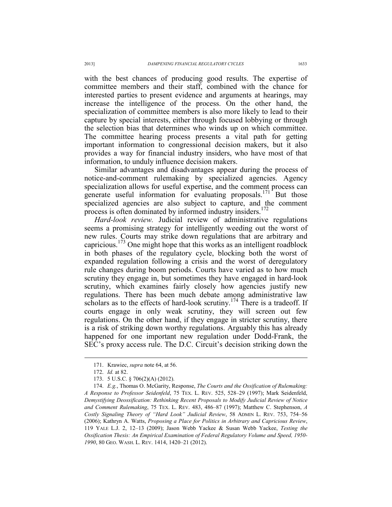with the best chances of producing good results. The expertise of committee members and their staff, combined with the chance for interested parties to present evidence and arguments at hearings, may increase the intelligence of the process. On the other hand, the specialization of committee members is also more likely to lead to their capture by special interests, either through focused lobbying or through the selection bias that determines who winds up on which committee. The committee hearing process presents a vital path for getting important information to congressional decision makers, but it also provides a way for financial industry insiders, who have most of that information, to unduly influence decision makers.

Similar advantages and disadvantages appear during the process of notice-and-comment rulemaking by specialized agencies. Agency specialization allows for useful expertise, and the comment process can generate useful information for evaluating proposals.<sup>171</sup> But those specialized agencies are also subject to capture, and the comment process is often dominated by informed industry insiders.<sup>172</sup>

*Hard-look review.* Judicial review of administrative regulations seems a promising strategy for intelligently weeding out the worst of new rules. Courts may strike down regulations that are arbitrary and capricious.<sup>173</sup> One might hope that this works as an intelligent roadblock in both phases of the regulatory cycle, blocking both the worst of expanded regulation following a crisis and the worst of deregulatory rule changes during boom periods. Courts have varied as to how much scrutiny they engage in, but sometimes they have engaged in hard-look scrutiny, which examines fairly closely how agencies justify new regulations. There has been much debate among administrative law scholars as to the effects of hard-look scrutiny.<sup>174</sup> There is a tradeoff. If courts engage in only weak scrutiny, they will screen out few regulations. On the other hand, if they engage in stricter scrutiny, there is a risk of striking down worthy regulations. Arguably this has already happened for one important new regulation under Dodd-Frank, the SEC's proxy access rule. The D.C. Circuit's decision striking down the

 <sup>171.</sup> Krawiec, *supra* note 64, at 56.

 <sup>172.</sup> *Id.* at 82.

 <sup>173. 5</sup> U.S.C. § 706(2)(A) (2012).

 <sup>174.</sup> *E.g.*, Thomas O. McGarity, Response, *The Courts and the Ossification of Rulemaking: A Response to Professor Seidenfeld*, 75 TEX. L. REV. 525, 528–29 (1997); Mark Seidenfeld, *Demystifying Deossification: Rethinking Recent Proposals to Modify Judicial Review of Notice and Comment Rulemaking*, 75 TEX. L. REV. 483, 486–87 (1997); Matthew C. Stephenson, *A Costly Signaling Theory of "Hard Look" Judicial Review*, 58 ADMIN L. REV. 753, 754–56 (2006); Kathryn A. Watts, *Proposing a Place for Politics in Arbitrary and Capricious Review*, 119 YALE L.J. 2, 12–13 (2009); Jason Webb Yackee & Susan Webb Yackee, *Testing the Ossification Thesis: An Empirical Examination of Federal Regulatory Volume and Speed, 1950- 1990*, 80 GEO. WASH. L. REV. 1414, 1420–21 (2012).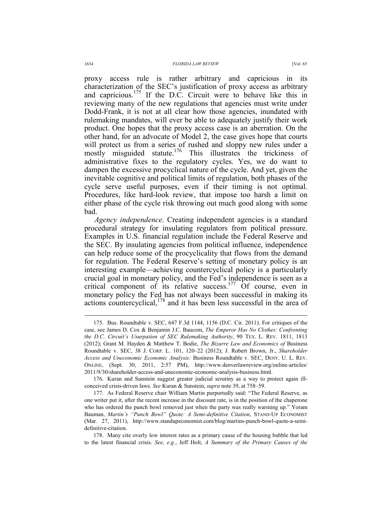proxy access rule is rather arbitrary and capricious in its characterization of the SEC's justification of proxy access as arbitrary and capricious.<sup>175</sup> If the D.C. Circuit were to behave like this in reviewing many of the new regulations that agencies must write under Dodd-Frank, it is not at all clear how those agencies, inundated with rulemaking mandates, will ever be able to adequately justify their work product. One hopes that the proxy access case is an aberration. On the other hand, for an advocate of Model 2, the case gives hope that courts will protect us from a series of rushed and sloppy new rules under a mostly misguided statute.<sup>176</sup> This illustrates the trickiness of administrative fixes to the regulatory cycles. Yes, we do want to dampen the excessive procyclical nature of the cycle. And yet, given the inevitable cognitive and political limits of regulation, both phases of the cycle serve useful purposes, even if their timing is not optimal. Procedures, like hard-look review, that impose too harsh a limit on either phase of the cycle risk throwing out much good along with some

*Agency independence*. Creating independent agencies is a standard procedural strategy for insulating regulators from political pressure. Examples in U.S. financial regulation include the Federal Reserve and the SEC. By insulating agencies from political influence, independence can help reduce some of the procyclicality that flows from the demand for regulation. The Federal Reserve's setting of monetary policy is an interesting example—achieving countercyclical policy is a particularly crucial goal in monetary policy, and the Fed's independence is seen as a critical component of its relative success.177 Of course, even in monetary policy the Fed has not always been successful in making its actions countercyclical, $178$  and it has been less successful in the area of

bad.

 <sup>175.</sup> Bus. Roundtable v. SEC, 647 F.3d 1144, 1156 (D.C. Cir. 2011). For critiques of the case, see James D. Cox & Benjamin J.C. Baucom, *The Emperor Has No Clothes: Confronting the D.C. Circuit's Usurpation of SEC Rulemaking Authority*, 90 TEX. L. REV. 1811, 1813 (2012); Grant M. Hayden & Matthew T. Bodie, *The Bizarre Law and Economics of* Business Roundtable v. SEC, 38 J. CORP. L. 101, 120–22 (2012); J. Robert Brown, Jr., *Shareholder Access and Uneconomic Economic Analysis:* Business Roundtable v. SEC, DENV. U. L. REV. ONLINE, (Sept. 30, 2011, 2:57 PM), http://www.denverlawreview.org/online-articles/ 2011/9/30/shareholder-access-and-uneconomic-economic-analysis-business.html.

 <sup>176.</sup> Kuran and Sunstein suggest greater judicial scrutiny as a way to protect again illconceived crisis-driven laws. *See* Kuran & Sunstein, *supra* note 39, at 758–59.

 <sup>177.</sup> As Federal Reserve chair William Martin purportedly said: "The Federal Reserve, as one writer put it, after the recent increase in the discount rate, is in the position of the chaperone who has ordered the punch bowl removed just when the party was really warming up." Yoram Bauman, *Martin's "Punch Bowl" Quote: A Semi-definitive Citation*, STAND-UP ECONOMIST (Mar. 27, 2011), http://www.standupeconomist.com/blog/martins-punch-bowl-quote-a-semidefinitive-citation.

 <sup>178.</sup> Many cite overly low interest rates as a primary cause of the housing bubble that led to the latest financial crisis. *See, e.g.*, Jeff Holt, *A Summary of the Primary Causes of the*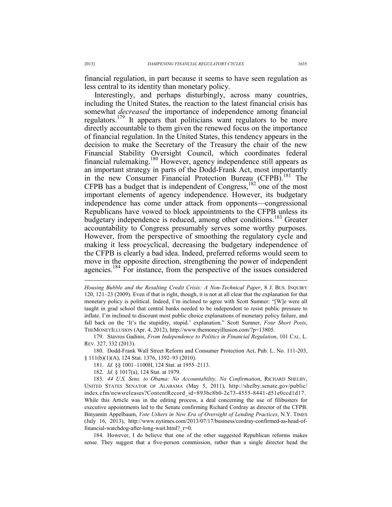financial regulation, in part because it seems to have seen regulation as less central to its identity than monetary policy.

Interestingly, and perhaps disturbingly, across many countries, including the United States, the reaction to the latest financial crisis has somewhat *decreased* the importance of independence among financial regulators.179 It appears that politicians want regulators to be more directly accountable to them given the renewed focus on the importance of financial regulation. In the United States, this tendency appears in the decision to make the Secretary of the Treasury the chair of the new Financial Stability Oversight Council, which coordinates federal financial rulemaking.180 However, agency independence still appears as an important strategy in parts of the Dodd-Frank Act, most importantly in the new Consumer Financial Protection Bureau (CFPB).<sup>181</sup> The CFPB has a budget that is independent of Congress,182 one of the most important elements of agency independence. However, its budgetary independence has come under attack from opponents—congressional Republicans have vowed to block appointments to the CFPB unless its budgetary independence is reduced, among other conditions.<sup>183</sup> Greater accountability to Congress presumably serves some worthy purposes. However, from the perspective of smoothing the regulatory cycle and making it less procyclical, decreasing the budgetary independence of the CFPB is clearly a bad idea. Indeed, preferred reforms would seem to move in the opposite direction, strengthening the power of independent agencies.<sup>184</sup> For instance, from the perspective of the issues considered

 179. Stavros Gadinis, *From Independence to Politics in Financial Regulation*, 101 CAL. L. REV. 327, 332 (2013).

 180. Dodd-Frank Wall Street Reform and Consumer Protection Act, Pub. L. No. 111-203, § 111(b)(1)(A), 124 Stat. 1376, 1392–93 (2010).

181. *Id.* §§ 1001–1100H, 124 Stat. at 1955–2113.

182. *Id.* § 1017(a), 124 Stat. at 1979.

 183. *44 U.S. Sens. to Obama: No Accountability, No Confirmation*, RICHARD SHELBY, UNITED STATES SENATOR OF ALABAMA (May 5, 2011), http://shelby.senate.gov/public/ index.cfm/newsreleases?ContentRecord\_id=893bc8b0-2e73-4555-8441-d51e0ccd1d17. While this Article was in the editing process, a deal concerning the use of filibusters for executive appointments led to the Senate confirming Richard Cordray as director of the CFPB. Binyamin Appelbaum, *Vote Ushers in New Era of Oversight of Lending Practices*, N.Y. TIMES (July 16, 2013), http://www.nytimes.com/2013/07/17/business/cordray-confirmed-as-head-offinancial-watchdog-after-long-wait.html?\_r=0.

 184. However, I do believe that one of the other suggested Republican reforms makes sense. They suggest that a five-person commission, rather than a single director head the

*Housing Bubble and the Resulting Credit Crisis: A Non-Technical Paper*, 8 J. BUS. INQUIRY 120, 121–23 (2009). Even if that is right, though, it is not at all clear that the explanation for that monetary policy is political. Indeed, I'm inclined to agree with Scott Sumner: "[W]e were all taught in grad school that central banks needed to be independent to resist public pressure to inflate. I'm inclined to discount most public choice explanations of monetary policy failure, and fall back on the 'It's the stupidity, stupid.' explanation." Scott Sumner, *Four Short Posts*, THEMONEYILLUSION (Apr. 4, 2012), http://www.themoneyillusion.com/?p=13805.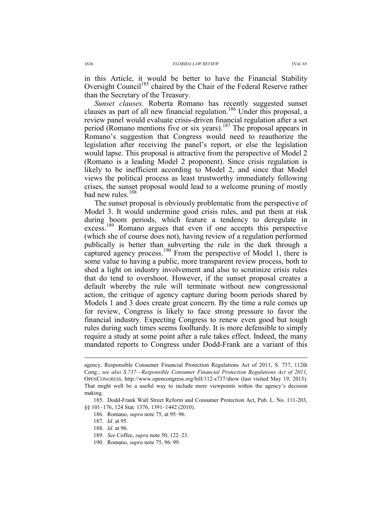in this Article, it would be better to have the Financial Stability Oversight Council<sup>185</sup> chaired by the Chair of the Federal Reserve rather than the Secretary of the Treasury.

*Sunset clauses.* Roberta Romano has recently suggested sunset clauses as part of all new financial regulation.<sup>186</sup> Under this proposal, a review panel would evaluate crisis-driven financial regulation after a set period (Romano mentions five or six years).187 The proposal appears in Romano's suggestion that Congress would need to reauthorize the legislation after receiving the panel's report, or else the legislation would lapse. This proposal is attractive from the perspective of Model 2 (Romano is a leading Model 2 proponent). Since crisis regulation is likely to be inefficient according to Model 2, and since that Model views the political process as least trustworthy immediately following crises, the sunset proposal would lead to a welcome pruning of mostly bad new rules.<sup>188</sup>

The sunset proposal is obviously problematic from the perspective of Model 3. It would undermine good crisis rules, and put them at risk during boom periods, which feature a tendency to deregulate in excess.<sup>189</sup> Romano argues that even if one accepts this perspective (which she of course does not), having review of a regulation performed publically is better than subverting the rule in the dark through a captured agency process.<sup>190</sup> From the perspective of Model 1, there is some value to having a public, more transparent review process, both to shed a light on industry involvement and also to scrutinize crisis rules that do tend to overshoot. However, if the sunset proposal creates a default whereby the rule will terminate without new congressional action, the critique of agency capture during boom periods shared by Models 1 and 3 does create great concern. By the time a rule comes up for review, Congress is likely to face strong pressure to favor the financial industry. Expecting Congress to renew even good but tough rules during such times seems foolhardy. It is more defensible to simply require a study at some point after a rule takes effect. Indeed, the many mandated reports to Congress under Dodd-Frank are a variant of this

agency. Responsible Consumer Financial Protection Regulations Act of 2011, S. 737, 112th Cong.; *see also S.737—Responsible Consumer Financial Protection Regulations Act of 2011*, OPENCONGRESS, http://www.opencongress.org/bill/112-s737/show (last visited May 19, 2013). That might well be a useful way to include more viewpoints within the agency's decision making.

 <sup>185.</sup> Dodd-Frank Wall Street Reform and Consumer Protection Act, Pub. L. No. 111-203, §§ 101–176, 124 Stat. 1376, 1391–1442 (2010).

 <sup>186.</sup> Romano, *supra* note 75, at 95–96.

 <sup>187.</sup> *Id.* at 95.

 <sup>188.</sup> *Id.* at 96.

 <sup>189.</sup> *See* Coffee, *supra* note 50, 122–23.

 <sup>190.</sup> Romano, *supra* note 75, 96–99.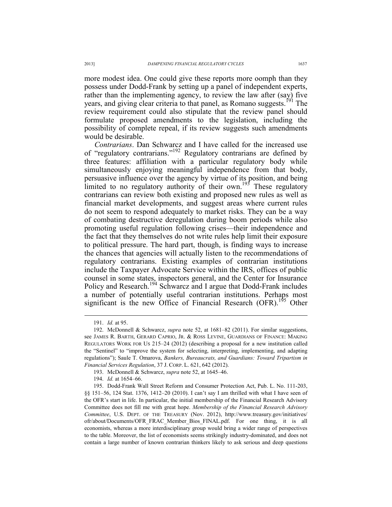more modest idea. One could give these reports more oomph than they possess under Dodd-Frank by setting up a panel of independent experts, rather than the implementing agency, to review the law after (say) five years, and giving clear criteria to that panel, as Romano suggests.<sup>191</sup> The review requirement could also stipulate that the review panel should formulate proposed amendments to the legislation, including the possibility of complete repeal, if its review suggests such amendments would be desirable.

*Contrarians*. Dan Schwarcz and I have called for the increased use of "regulatory contrarians."<sup>192</sup> Regulatory contrarians are defined by three features: affiliation with a particular regulatory body while simultaneously enjoying meaningful independence from that body, persuasive influence over the agency by virtue of its position, and being limited to no regulatory authority of their own.<sup>193</sup> These regulatory contrarians can review both existing and proposed new rules as well as financial market developments, and suggest areas where current rules do not seem to respond adequately to market risks. They can be a way of combating destructive deregulation during boom periods while also promoting useful regulation following crises—their independence and the fact that they themselves do not write rules help limit their exposure to political pressure. The hard part, though, is finding ways to increase the chances that agencies will actually listen to the recommendations of regulatory contrarians. Existing examples of contrarian institutions include the Taxpayer Advocate Service within the IRS, offices of public counsel in some states, inspectors general, and the Center for Insurance Policy and Research.<sup>194</sup> Schwarcz and I argue that Dodd-Frank includes a number of potentially useful contrarian institutions. Perhaps most significant is the new Office of Financial Research (OFR).<sup>195</sup> Other

 <sup>191.</sup> *Id.* at 95.

 <sup>192.</sup> McDonnell & Schwarcz, *supra* note 52, at 1681–82 (2011). For similar suggestions, see JAMES R. BARTH, GERARD CAPRIO, JR. & ROSS LEVINE, GUARDIANS OF FINANCE: MAKING REGULATORS WORK FOR US 215–24 (2012) (describing a proposal for a new institution called the "Sentinel" to "improve the system for selecting, interpreting, implementing, and adapting regulations"); Saule T. Omarova, *Bankers, Bureaucrats, and Guardians: Toward Tripartism in Financial Services Regulation*, 37 J. CORP. L. 621, 642 (2012).

 <sup>193.</sup> McDonnell & Schwarcz, *supra* note 52, at 1645–46.

 <sup>194.</sup> *Id.* at 1654–66.

 <sup>195.</sup> Dodd-Frank Wall Street Reform and Consumer Protection Act, Pub. L. No. 111-203, §§ 151–56, 124 Stat. 1376, 1412–20 (2010). I can't say I am thrilled with what I have seen of the OFR's start in life. In particular, the initial membership of the Financial Research Advisory Committee does not fill me with great hope. *Membership of the Financial Research Advisory Committee*, U.S. DEPT. OF THE TREASURY (Nov. 2012), http://www.treasury.gov/initiatives/ ofr/about/Documents/OFR\_FRAC\_Member\_Bios\_FINAL.pdf. For one thing, it is all economists, whereas a more interdisciplinary group would bring a wider range of perspectives to the table. Moreover, the list of economists seems strikingly industry-dominated, and does not contain a large number of known contrarian thinkers likely to ask serious and deep questions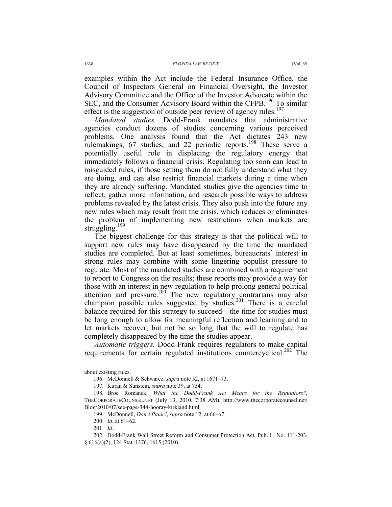examples within the Act include the Federal Insurance Office, the Council of Inspectors General on Financial Oversight, the Investor Advisory Committee and the Office of the Investor Advocate within the SEC, and the Consumer Advisory Board within the CFPB.<sup>196</sup> To similar effect is the suggestion of outside peer review of agency rules.<sup>197</sup>

*Mandated studies.* Dodd-Frank mandates that administrative agencies conduct dozens of studies concerning various perceived problems. One analysis found that the Act dictates 243 new rulemakings, 67 studies, and 22 periodic reports.<sup>198</sup> These serve a potentially useful role in displacing the regulatory energy that immediately follows a financial crisis. Regulating too soon can lead to misguided rules, if those setting them do not fully understand what they are doing, and can also restrict financial markets during a time when they are already suffering. Mandated studies give the agencies time to reflect, gather more information, and research possible ways to address problems revealed by the latest crisis. They also push into the future any new rules which may result from the crisis, which reduces or eliminates the problem of implementing new restrictions when markets are struggling.<sup>199</sup>

The biggest challenge for this strategy is that the political will to support new rules may have disappeared by the time the mandated studies are completed. But at least sometimes, bureaucrats' interest in strong rules may combine with some lingering populist pressure to regulate. Most of the mandated studies are combined with a requirement to report to Congress on the results; these reports may provide a way for those with an interest in new regulation to help prolong general political attention and pressure.<sup>200</sup> The new regulatory contrarians may also champion possible rules suggested by studies.<sup>201</sup> There is a careful balance required for this strategy to succeed—the time for studies must be long enough to allow for meaningful reflection and learning and to let markets recover, but not be so long that the will to regulate has completely disappeared by the time the studies appear.

*Automatic triggers.* Dodd-Frank requires regulators to make capital requirements for certain regulated institutions countercyclical.<sup>202</sup> The

about existing rules.

 <sup>196.</sup> McDonnell & Schwarcz, *supra* note 52, at 1671–73.

 <sup>197.</sup> Kuran & Sunstein, *supra* note 39, at 754.

 <sup>198.</sup> Broc Romanek, *What the Dodd-Frank Act Means for the Regulators?*, THECORPORATECOUNSEL.NET (July 13, 2010, 7:38 AM), http://www.thecorporatecounsel.net/ Blog/2010/07/see-page-344-hooray-kirkland.html.

 <sup>199.</sup> McDonnell, *Don't Panic!*, *supra* note 12, at 66–67.

 <sup>200.</sup> *Id.* at 61–62.

 <sup>201.</sup> *Id.* 

 <sup>202.</sup> Dodd-Frank Wall Street Reform and Consumer Protection Act, Pub. L. No. 111-203, § 616(a)(2), 124 Stat. 1376, 1615 (2010).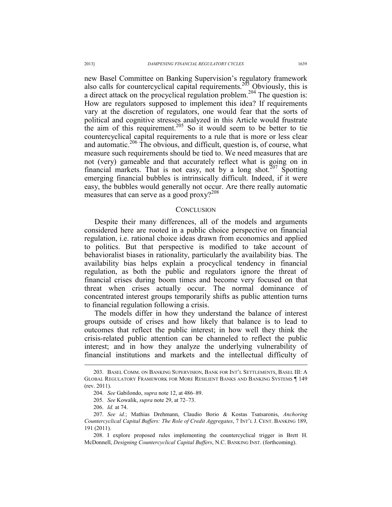new Basel Committee on Banking Supervision's regulatory framework also calls for countercyclical capital requirements.<sup>203</sup> Obviously, this is a direct attack on the procyclical regulation problem.<sup>204</sup> The question is: How are regulators supposed to implement this idea? If requirements vary at the discretion of regulators, one would fear that the sorts of political and cognitive stresses analyzed in this Article would frustrate the aim of this requirement.<sup>205</sup> So it would seem to be better to tie countercyclical capital requirements to a rule that is more or less clear and automatic.<sup>206</sup> The obvious, and difficult, question is, of course, what measure such requirements should be tied to. We need measures that are not (very) gameable and that accurately reflect what is going on in financial markets. That is not easy, not by a long shot.<sup>207</sup> Spotting emerging financial bubbles is intrinsically difficult. Indeed, if it were easy, the bubbles would generally not occur. Are there really automatic measures that can serve as a good proxy? $208$ 

#### **CONCLUSION**

Despite their many differences, all of the models and arguments considered here are rooted in a public choice perspective on financial regulation, i.e. rational choice ideas drawn from economics and applied to politics. But that perspective is modified to take account of behavioralist biases in rationality, particularly the availability bias. The availability bias helps explain a procyclical tendency in financial regulation, as both the public and regulators ignore the threat of financial crises during boom times and become very focused on that threat when crises actually occur. The normal dominance of concentrated interest groups temporarily shifts as public attention turns to financial regulation following a crisis.

The models differ in how they understand the balance of interest groups outside of crises and how likely that balance is to lead to outcomes that reflect the public interest; in how well they think the crisis-related public attention can be channeled to reflect the public interest; and in how they analyze the underlying vulnerability of financial institutions and markets and the intellectual difficulty of

 <sup>203.</sup> BASEL COMM. ON BANKING SUPERVISION, BANK FOR INT'L SETTLEMENTS, BASEL III: A GLOBAL REGULATORY FRAMEWORK FOR MORE RESILIENT BANKS AND BANKING SYSTEMS ¶ 149 (rev. 2011).

 <sup>204.</sup> *See* Gabilondo, *supra* note 12, at 486–89.

 <sup>205.</sup> *See* Kowalik, *supra* note 29, at 72–73.

 <sup>206.</sup> *Id.* at 74.

 <sup>207.</sup> *See id.*; Mathias Drehmann, Claudio Borio & Kostas Tsatsaronis, *Anchoring Countercyclical Capital Buffers: The Role of Credit Aggregates*, 7 INT'L J. CENT. BANKING 189, 191 (2011).

 <sup>208.</sup> I explore proposed rules implementing the countercyclical trigger in Brett H. McDonnell, *Designing Countercyclical Capital Buffers*, N.C. BANKING INST. (forthcoming).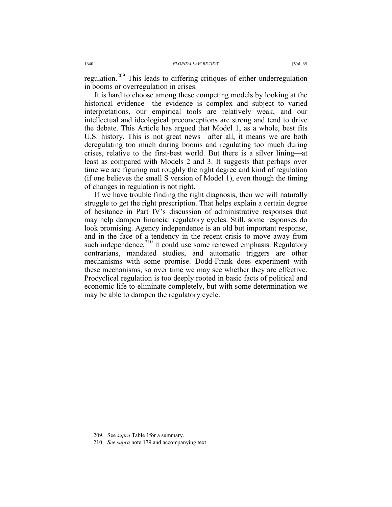regulation.209 This leads to differing critiques of either underregulation in booms or overregulation in crises.

It is hard to choose among these competing models by looking at the historical evidence—the evidence is complex and subject to varied interpretations, our empirical tools are relatively weak, and our intellectual and ideological preconceptions are strong and tend to drive the debate. This Article has argued that Model 1, as a whole, best fits U.S. history. This is not great news—after all, it means we are both deregulating too much during booms and regulating too much during crises, relative to the first-best world. But there is a silver lining—at least as compared with Models 2 and 3. It suggests that perhaps over time we are figuring out roughly the right degree and kind of regulation (if one believes the small S version of Model 1), even though the timing of changes in regulation is not right.

If we have trouble finding the right diagnosis, then we will naturally struggle to get the right prescription. That helps explain a certain degree of hesitance in Part IV's discussion of administrative responses that may help dampen financial regulatory cycles. Still, some responses do look promising. Agency independence is an old but important response, and in the face of a tendency in the recent crisis to move away from such independence, $2^{10}$  it could use some renewed emphasis. Regulatory contrarians, mandated studies, and automatic triggers are other mechanisms with some promise. Dodd-Frank does experiment with these mechanisms, so over time we may see whether they are effective. Procyclical regulation is too deeply rooted in basic facts of political and economic life to eliminate completely, but with some determination we may be able to dampen the regulatory cycle.

 <sup>209.</sup> See *supra* Table 1for a summary.

 <sup>210.</sup> *See supra* note 179 and accompanying text.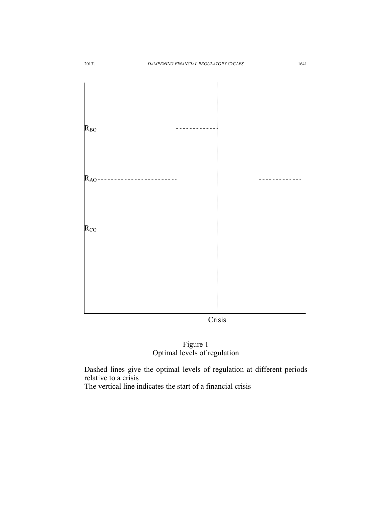

# Figure 1 Optimal levels of regulation

Dashed lines give the optimal levels of regulation at different periods relative to a crisis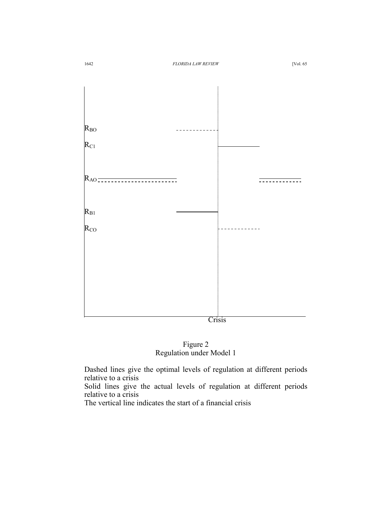

Figure 2 Regulation under Model 1

Solid lines give the actual levels of regulation at different periods relative to a crisis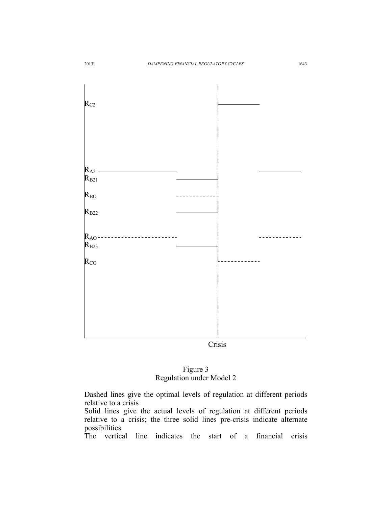

Crisis

# Figure 3 Regulation under Model 2

Dashed lines give the optimal levels of regulation at different periods relative to a crisis

Solid lines give the actual levels of regulation at different periods relative to a crisis; the three solid lines pre-crisis indicate alternate possibilities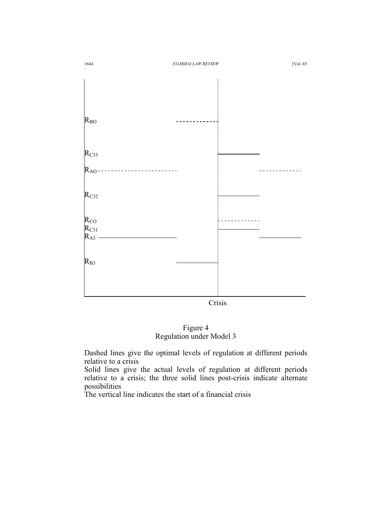

Crisis

# Figure 4 Regulation under Model 3

Dashed lines give the optimal levels of regulation at different periods relative to a crisis

Solid lines give the actual levels of regulation at different periods relative to a crisis; the three solid lines post-crisis indicate alternate possibilities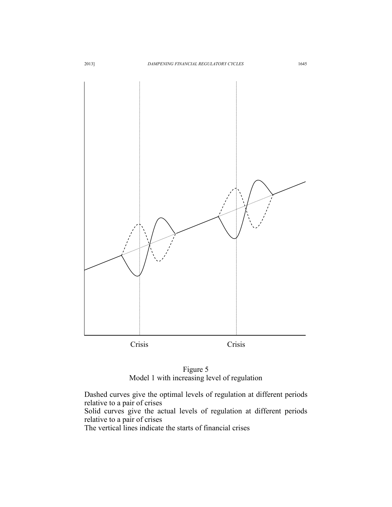

Figure 5 Model 1 with increasing level of regulation

Solid curves give the actual levels of regulation at different periods relative to a pair of crises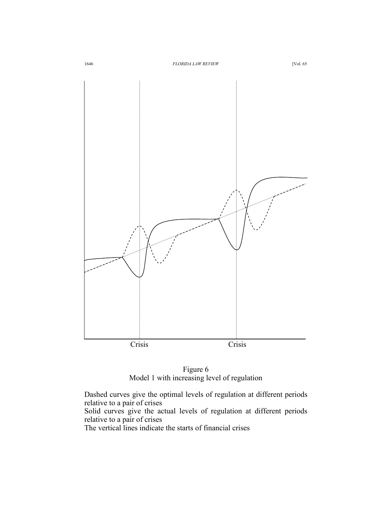

Figure 6 Model 1 with increasing level of regulation

Solid curves give the actual levels of regulation at different periods relative to a pair of crises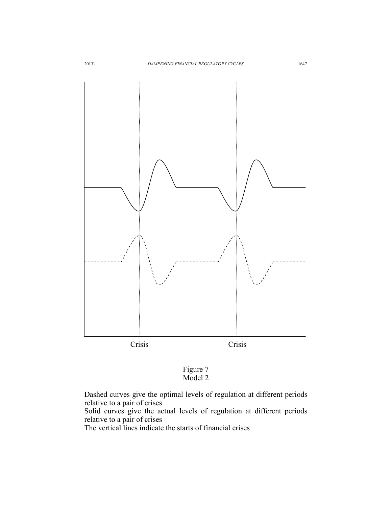



Solid curves give the actual levels of regulation at different periods relative to a pair of crises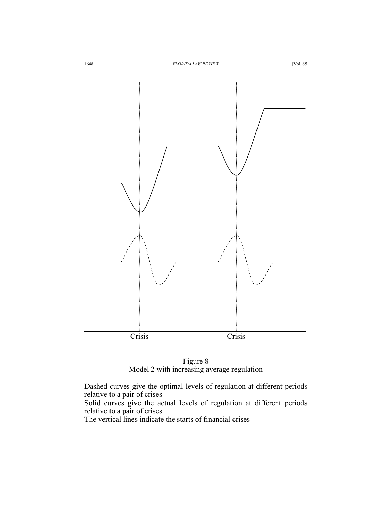

Figure 8 Model 2 with increasing average regulation

Solid curves give the actual levels of regulation at different periods relative to a pair of crises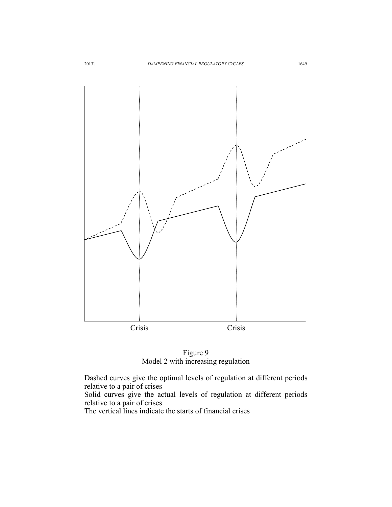

Figure 9 Model 2 with increasing regulation

Solid curves give the actual levels of regulation at different periods relative to a pair of crises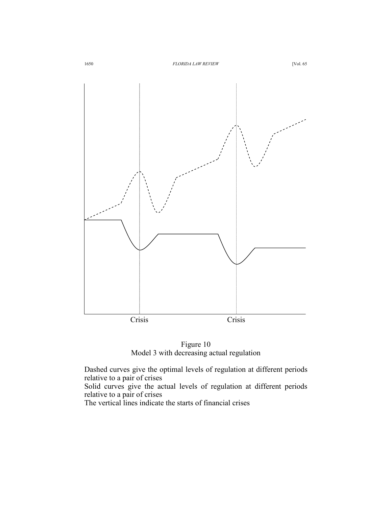

Figure 10 Model 3 with decreasing actual regulation

Solid curves give the actual levels of regulation at different periods relative to a pair of crises